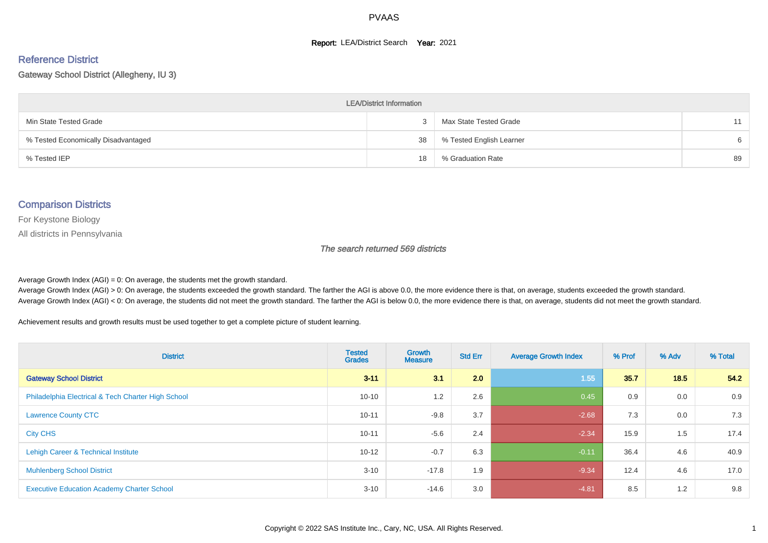#### **Report: LEA/District Search Year: 2021**

#### Reference District

#### Gateway School District (Allegheny, IU 3)

| <b>LEA/District Information</b>     |    |                          |    |  |  |  |  |  |  |  |
|-------------------------------------|----|--------------------------|----|--|--|--|--|--|--|--|
| Min State Tested Grade              |    | Max State Tested Grade   |    |  |  |  |  |  |  |  |
| % Tested Economically Disadvantaged | 38 | % Tested English Learner | 6  |  |  |  |  |  |  |  |
| % Tested IEP                        | 18 | % Graduation Rate        | 89 |  |  |  |  |  |  |  |

#### Comparison Districts

For Keystone Biology

All districts in Pennsylvania

The search returned 569 districts

Average Growth Index  $(AGI) = 0$ : On average, the students met the growth standard.

Average Growth Index (AGI) > 0: On average, the students exceeded the growth standard. The farther the AGI is above 0.0, the more evidence there is that, on average, students exceeded the growth standard. Average Growth Index (AGI) < 0: On average, the students did not meet the growth standard. The farther the AGI is below 0.0, the more evidence there is that, on average, students did not meet the growth standard.

Achievement results and growth results must be used together to get a complete picture of student learning.

| <b>District</b>                                    | <b>Tested</b><br><b>Grades</b> | Growth<br><b>Measure</b> | <b>Std Err</b> | <b>Average Growth Index</b> | % Prof | % Adv | % Total |
|----------------------------------------------------|--------------------------------|--------------------------|----------------|-----------------------------|--------|-------|---------|
| <b>Gateway School District</b>                     | $3 - 11$                       | 3.1                      | 2.0            | 1.55                        | 35.7   | 18.5  | 54.2    |
| Philadelphia Electrical & Tech Charter High School | $10 - 10$                      | 1.2                      | 2.6            | 0.45                        | 0.9    | 0.0   | 0.9     |
| <b>Lawrence County CTC</b>                         | $10 - 11$                      | $-9.8$                   | 3.7            | $-2.68$                     | 7.3    | 0.0   | 7.3     |
| <b>City CHS</b>                                    | $10 - 11$                      | $-5.6$                   | 2.4            | $-2.34$                     | 15.9   | 1.5   | 17.4    |
| Lehigh Career & Technical Institute                | $10 - 12$                      | $-0.7$                   | 6.3            | $-0.11$                     | 36.4   | 4.6   | 40.9    |
| <b>Muhlenberg School District</b>                  | $3 - 10$                       | $-17.8$                  | 1.9            | $-9.34$                     | 12.4   | 4.6   | 17.0    |
| <b>Executive Education Academy Charter School</b>  | $3 - 10$                       | $-14.6$                  | 3.0            | $-4.81$                     | 8.5    | 1.2   | 9.8     |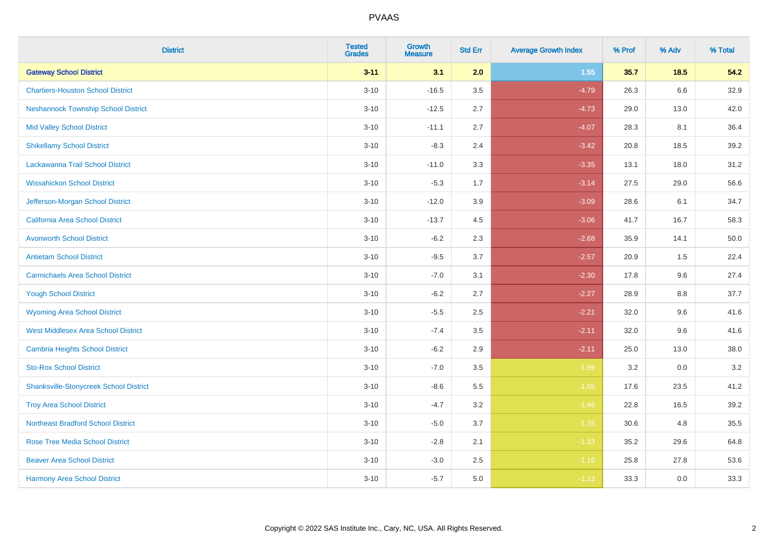| <b>District</b>                               | <b>Tested</b><br><b>Grades</b> | <b>Growth</b><br><b>Measure</b> | <b>Std Err</b> | <b>Average Growth Index</b> | % Prof | % Adv  | % Total |
|-----------------------------------------------|--------------------------------|---------------------------------|----------------|-----------------------------|--------|--------|---------|
| <b>Gateway School District</b>                | $3 - 11$                       | 3.1                             | 2.0            | 1.55                        | 35.7   | $18.5$ | 54.2    |
| <b>Chartiers-Houston School District</b>      | $3 - 10$                       | $-16.5$                         | 3.5            | $-4.79$                     | 26.3   | 6.6    | 32.9    |
| <b>Neshannock Township School District</b>    | $3 - 10$                       | $-12.5$                         | 2.7            | $-4.73$                     | 29.0   | 13.0   | 42.0    |
| <b>Mid Valley School District</b>             | $3 - 10$                       | $-11.1$                         | 2.7            | $-4.07$                     | 28.3   | 8.1    | 36.4    |
| <b>Shikellamy School District</b>             | $3 - 10$                       | $-8.3$                          | 2.4            | $-3.42$                     | 20.8   | 18.5   | 39.2    |
| Lackawanna Trail School District              | $3 - 10$                       | $-11.0$                         | 3.3            | $-3.35$                     | 13.1   | 18.0   | 31.2    |
| <b>Wissahickon School District</b>            | $3 - 10$                       | $-5.3$                          | 1.7            | $-3.14$                     | 27.5   | 29.0   | 56.6    |
| Jefferson-Morgan School District              | $3 - 10$                       | $-12.0$                         | 3.9            | $-3.09$                     | 28.6   | 6.1    | 34.7    |
| California Area School District               | $3 - 10$                       | $-13.7$                         | 4.5            | $-3.06$                     | 41.7   | 16.7   | 58.3    |
| <b>Avonworth School District</b>              | $3 - 10$                       | $-6.2$                          | 2.3            | $-2.68$                     | 35.9   | 14.1   | 50.0    |
| <b>Antietam School District</b>               | $3 - 10$                       | $-9.5$                          | 3.7            | $-2.57$                     | 20.9   | 1.5    | 22.4    |
| <b>Carmichaels Area School District</b>       | $3 - 10$                       | $-7.0$                          | 3.1            | $-2.30$                     | 17.8   | 9.6    | 27.4    |
| <b>Yough School District</b>                  | $3 - 10$                       | $-6.2$                          | 2.7            | $-2.27$                     | 28.9   | 8.8    | 37.7    |
| <b>Wyoming Area School District</b>           | $3 - 10$                       | $-5.5$                          | 2.5            | $-2.21$                     | 32.0   | 9.6    | 41.6    |
| <b>West Middlesex Area School District</b>    | $3 - 10$                       | $-7.4$                          | $3.5\,$        | $-2.11$                     | 32.0   | 9.6    | 41.6    |
| <b>Cambria Heights School District</b>        | $3 - 10$                       | $-6.2$                          | 2.9            | $-2.11$                     | 25.0   | 13.0   | 38.0    |
| <b>Sto-Rox School District</b>                | $3 - 10$                       | $-7.0$                          | 3.5            | $-1.99$                     | 3.2    | 0.0    | 3.2     |
| <b>Shanksville-Stonycreek School District</b> | $3 - 10$                       | $-8.6$                          | 5.5            | $-1.55$                     | 17.6   | 23.5   | 41.2    |
| <b>Troy Area School District</b>              | $3 - 10$                       | $-4.7$                          | 3.2            | $-1.46$                     | 22.8   | 16.5   | 39.2    |
| <b>Northeast Bradford School District</b>     | $3 - 10$                       | $-5.0$                          | 3.7            | $-1.35$                     | 30.6   | 4.8    | 35.5    |
| <b>Rose Tree Media School District</b>        | $3 - 10$                       | $-2.8$                          | 2.1            | $-1.33$                     | 35.2   | 29.6   | 64.8    |
| <b>Beaver Area School District</b>            | $3 - 10$                       | $-3.0$                          | 2.5            | $-1.16$                     | 25.8   | 27.8   | 53.6    |
| <b>Harmony Area School District</b>           | $3 - 10$                       | $-5.7$                          | 5.0            | $-1.13$                     | 33.3   | 0.0    | 33.3    |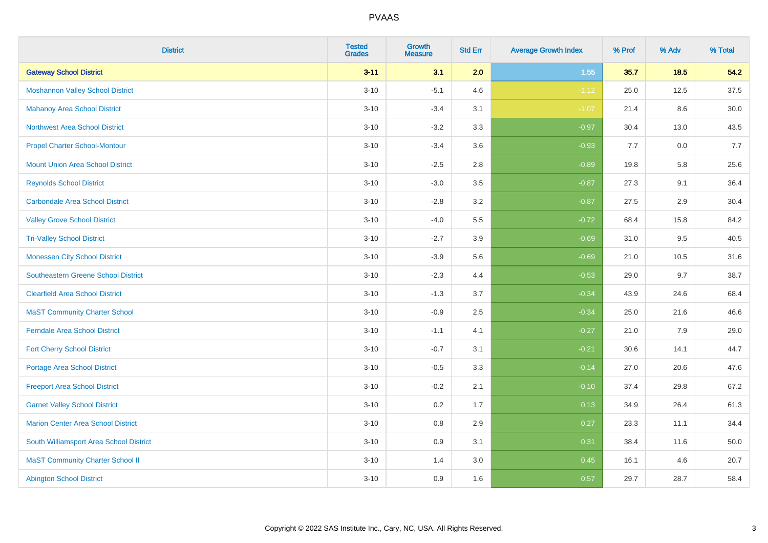| <b>District</b>                            | <b>Tested</b><br><b>Grades</b> | <b>Growth</b><br><b>Measure</b> | <b>Std Err</b> | <b>Average Growth Index</b> | % Prof | % Adv  | % Total |
|--------------------------------------------|--------------------------------|---------------------------------|----------------|-----------------------------|--------|--------|---------|
| <b>Gateway School District</b>             | $3 - 11$                       | 3.1                             | 2.0            | 1.55                        | 35.7   | $18.5$ | 54.2    |
| <b>Moshannon Valley School District</b>    | $3 - 10$                       | $-5.1$                          | 4.6            | $-1.12$                     | 25.0   | 12.5   | 37.5    |
| <b>Mahanoy Area School District</b>        | $3 - 10$                       | $-3.4$                          | 3.1            | $-1.07$                     | 21.4   | 8.6    | 30.0    |
| <b>Northwest Area School District</b>      | $3 - 10$                       | $-3.2$                          | 3.3            | $-0.97$                     | 30.4   | 13.0   | 43.5    |
| <b>Propel Charter School-Montour</b>       | $3 - 10$                       | $-3.4$                          | 3.6            | $-0.93$                     | 7.7    | 0.0    | 7.7     |
| <b>Mount Union Area School District</b>    | $3 - 10$                       | $-2.5$                          | 2.8            | $-0.89$                     | 19.8   | 5.8    | 25.6    |
| <b>Reynolds School District</b>            | $3 - 10$                       | $-3.0$                          | 3.5            | $-0.87$                     | 27.3   | 9.1    | 36.4    |
| <b>Carbondale Area School District</b>     | $3 - 10$                       | $-2.8$                          | 3.2            | $-0.87$                     | 27.5   | 2.9    | 30.4    |
| <b>Valley Grove School District</b>        | $3 - 10$                       | $-4.0$                          | 5.5            | $-0.72$                     | 68.4   | 15.8   | 84.2    |
| <b>Tri-Valley School District</b>          | $3 - 10$                       | $-2.7$                          | 3.9            | $-0.69$                     | 31.0   | 9.5    | 40.5    |
| <b>Monessen City School District</b>       | $3 - 10$                       | $-3.9$                          | 5.6            | $-0.69$                     | 21.0   | 10.5   | 31.6    |
| <b>Southeastern Greene School District</b> | $3 - 10$                       | $-2.3$                          | 4.4            | $-0.53$                     | 29.0   | 9.7    | 38.7    |
| <b>Clearfield Area School District</b>     | $3 - 10$                       | $-1.3$                          | 3.7            | $-0.34$                     | 43.9   | 24.6   | 68.4    |
| <b>MaST Community Charter School</b>       | $3 - 10$                       | $-0.9$                          | 2.5            | $-0.34$                     | 25.0   | 21.6   | 46.6    |
| <b>Ferndale Area School District</b>       | $3 - 10$                       | $-1.1$                          | 4.1            | $-0.27$                     | 21.0   | 7.9    | 29.0    |
| <b>Fort Cherry School District</b>         | $3 - 10$                       | $-0.7$                          | 3.1            | $-0.21$                     | 30.6   | 14.1   | 44.7    |
| <b>Portage Area School District</b>        | $3 - 10$                       | $-0.5$                          | 3.3            | $-0.14$                     | 27.0   | 20.6   | 47.6    |
| <b>Freeport Area School District</b>       | $3 - 10$                       | $-0.2$                          | 2.1            | $-0.10$                     | 37.4   | 29.8   | 67.2    |
| <b>Garnet Valley School District</b>       | $3 - 10$                       | 0.2                             | 1.7            | 0.13                        | 34.9   | 26.4   | 61.3    |
| <b>Marion Center Area School District</b>  | $3 - 10$                       | $0.8\,$                         | 2.9            | 0.27                        | 23.3   | 11.1   | 34.4    |
| South Williamsport Area School District    | $3 - 10$                       | 0.9                             | 3.1            | 0.31                        | 38.4   | 11.6   | 50.0    |
| <b>MaST Community Charter School II</b>    | $3 - 10$                       | 1.4                             | 3.0            | 0.45                        | 16.1   | 4.6    | 20.7    |
| <b>Abington School District</b>            | $3 - 10$                       | 0.9                             | 1.6            | 0.57                        | 29.7   | 28.7   | 58.4    |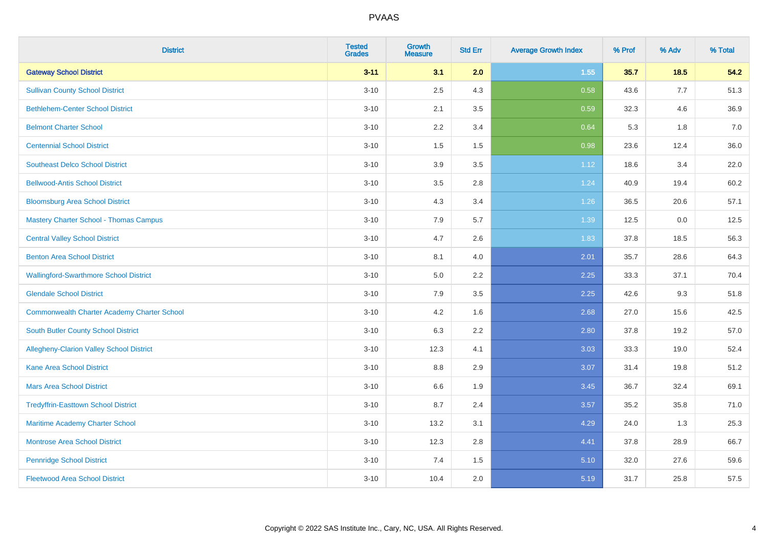| <b>District</b>                                    | <b>Tested</b><br><b>Grades</b> | <b>Growth</b><br><b>Measure</b> | <b>Std Err</b> | <b>Average Growth Index</b> | % Prof | % Adv  | % Total |
|----------------------------------------------------|--------------------------------|---------------------------------|----------------|-----------------------------|--------|--------|---------|
| <b>Gateway School District</b>                     | $3 - 11$                       | 3.1                             | 2.0            | $1.55$                      | 35.7   | $18.5$ | 54.2    |
| <b>Sullivan County School District</b>             | $3 - 10$                       | 2.5                             | 4.3            | 0.58                        | 43.6   | 7.7    | 51.3    |
| <b>Bethlehem-Center School District</b>            | $3 - 10$                       | 2.1                             | 3.5            | 0.59                        | 32.3   | 4.6    | 36.9    |
| <b>Belmont Charter School</b>                      | $3 - 10$                       | 2.2                             | 3.4            | 0.64                        | 5.3    | 1.8    | 7.0     |
| <b>Centennial School District</b>                  | $3 - 10$                       | 1.5                             | 1.5            | 0.98                        | 23.6   | 12.4   | 36.0    |
| <b>Southeast Delco School District</b>             | $3 - 10$                       | 3.9                             | 3.5            | 1.12                        | 18.6   | 3.4    | 22.0    |
| <b>Bellwood-Antis School District</b>              | $3 - 10$                       | 3.5                             | 2.8            | 1.24                        | 40.9   | 19.4   | 60.2    |
| <b>Bloomsburg Area School District</b>             | $3 - 10$                       | 4.3                             | 3.4            | 1.26                        | 36.5   | 20.6   | 57.1    |
| <b>Mastery Charter School - Thomas Campus</b>      | $3 - 10$                       | 7.9                             | 5.7            | 1.39                        | 12.5   | 0.0    | 12.5    |
| <b>Central Valley School District</b>              | $3 - 10$                       | 4.7                             | 2.6            | 1.83                        | 37.8   | 18.5   | 56.3    |
| <b>Benton Area School District</b>                 | $3 - 10$                       | 8.1                             | 4.0            | 2.01                        | 35.7   | 28.6   | 64.3    |
| <b>Wallingford-Swarthmore School District</b>      | $3 - 10$                       | 5.0                             | 2.2            | 2.25                        | 33.3   | 37.1   | 70.4    |
| <b>Glendale School District</b>                    | $3 - 10$                       | 7.9                             | 3.5            | 2.25                        | 42.6   | 9.3    | 51.8    |
| <b>Commonwealth Charter Academy Charter School</b> | $3 - 10$                       | 4.2                             | 1.6            | 2.68                        | 27.0   | 15.6   | 42.5    |
| South Butler County School District                | $3 - 10$                       | 6.3                             | 2.2            | 2.80                        | 37.8   | 19.2   | 57.0    |
| Allegheny-Clarion Valley School District           | $3 - 10$                       | 12.3                            | 4.1            | 3.03                        | 33.3   | 19.0   | 52.4    |
| <b>Kane Area School District</b>                   | $3 - 10$                       | 8.8                             | 2.9            | 3.07                        | 31.4   | 19.8   | 51.2    |
| <b>Mars Area School District</b>                   | $3 - 10$                       | 6.6                             | 1.9            | 3.45                        | 36.7   | 32.4   | 69.1    |
| <b>Tredyffrin-Easttown School District</b>         | $3 - 10$                       | 8.7                             | 2.4            | 3.57                        | 35.2   | 35.8   | 71.0    |
| Maritime Academy Charter School                    | $3 - 10$                       | 13.2                            | 3.1            | 4.29                        | 24.0   | 1.3    | 25.3    |
| Montrose Area School District                      | $3 - 10$                       | 12.3                            | 2.8            | 4.41                        | 37.8   | 28.9   | 66.7    |
| <b>Pennridge School District</b>                   | $3 - 10$                       | 7.4                             | 1.5            | 5.10                        | 32.0   | 27.6   | 59.6    |
| <b>Fleetwood Area School District</b>              | $3 - 10$                       | 10.4                            | 2.0            | 5.19                        | 31.7   | 25.8   | 57.5    |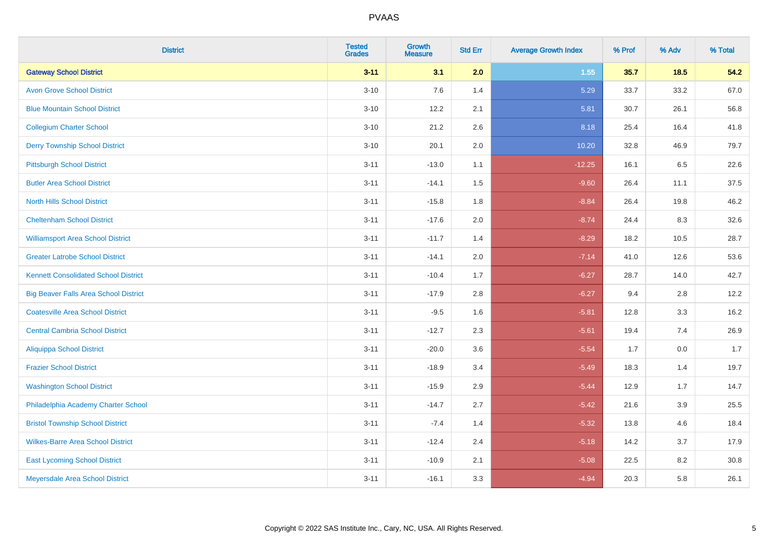| <b>District</b>                              | <b>Tested</b><br><b>Grades</b> | Growth<br><b>Measure</b> | <b>Std Err</b> | <b>Average Growth Index</b> | % Prof | % Adv | % Total |
|----------------------------------------------|--------------------------------|--------------------------|----------------|-----------------------------|--------|-------|---------|
| <b>Gateway School District</b>               | $3 - 11$                       | 3.1                      | 2.0            | 1.55                        | 35.7   | 18.5  | 54.2    |
| <b>Avon Grove School District</b>            | $3 - 10$                       | 7.6                      | 1.4            | 5.29                        | 33.7   | 33.2  | 67.0    |
| <b>Blue Mountain School District</b>         | $3 - 10$                       | 12.2                     | 2.1            | 5.81                        | 30.7   | 26.1  | 56.8    |
| <b>Collegium Charter School</b>              | $3 - 10$                       | 21.2                     | 2.6            | 8.18                        | 25.4   | 16.4  | 41.8    |
| <b>Derry Township School District</b>        | $3 - 10$                       | 20.1                     | 2.0            | 10.20                       | 32.8   | 46.9  | 79.7    |
| <b>Pittsburgh School District</b>            | $3 - 11$                       | $-13.0$                  | 1.1            | $-12.25$                    | 16.1   | 6.5   | 22.6    |
| <b>Butler Area School District</b>           | $3 - 11$                       | $-14.1$                  | 1.5            | $-9.60$                     | 26.4   | 11.1  | 37.5    |
| <b>North Hills School District</b>           | $3 - 11$                       | $-15.8$                  | 1.8            | $-8.84$                     | 26.4   | 19.8  | 46.2    |
| <b>Cheltenham School District</b>            | $3 - 11$                       | $-17.6$                  | 2.0            | $-8.74$                     | 24.4   | 8.3   | 32.6    |
| <b>Williamsport Area School District</b>     | $3 - 11$                       | $-11.7$                  | 1.4            | $-8.29$                     | 18.2   | 10.5  | 28.7    |
| <b>Greater Latrobe School District</b>       | $3 - 11$                       | $-14.1$                  | 2.0            | $-7.14$                     | 41.0   | 12.6  | 53.6    |
| <b>Kennett Consolidated School District</b>  | $3 - 11$                       | $-10.4$                  | 1.7            | $-6.27$                     | 28.7   | 14.0  | 42.7    |
| <b>Big Beaver Falls Area School District</b> | $3 - 11$                       | $-17.9$                  | 2.8            | $-6.27$                     | 9.4    | 2.8   | 12.2    |
| <b>Coatesville Area School District</b>      | $3 - 11$                       | $-9.5$                   | 1.6            | $-5.81$                     | 12.8   | 3.3   | 16.2    |
| <b>Central Cambria School District</b>       | $3 - 11$                       | $-12.7$                  | 2.3            | $-5.61$                     | 19.4   | 7.4   | 26.9    |
| <b>Aliquippa School District</b>             | $3 - 11$                       | $-20.0$                  | 3.6            | $-5.54$                     | 1.7    | 0.0   | 1.7     |
| <b>Frazier School District</b>               | $3 - 11$                       | $-18.9$                  | 3.4            | $-5.49$                     | 18.3   | 1.4   | 19.7    |
| <b>Washington School District</b>            | $3 - 11$                       | $-15.9$                  | 2.9            | $-5.44$                     | 12.9   | 1.7   | 14.7    |
| Philadelphia Academy Charter School          | $3 - 11$                       | $-14.7$                  | 2.7            | $-5.42$                     | 21.6   | 3.9   | 25.5    |
| <b>Bristol Township School District</b>      | $3 - 11$                       | $-7.4$                   | 1.4            | $-5.32$                     | 13.8   | 4.6   | 18.4    |
| <b>Wilkes-Barre Area School District</b>     | $3 - 11$                       | $-12.4$                  | 2.4            | $-5.18$                     | 14.2   | 3.7   | 17.9    |
| <b>East Lycoming School District</b>         | $3 - 11$                       | $-10.9$                  | 2.1            | $-5.08$                     | 22.5   | 8.2   | 30.8    |
| Meyersdale Area School District              | $3 - 11$                       | $-16.1$                  | 3.3            | $-4.94$                     | 20.3   | 5.8   | 26.1    |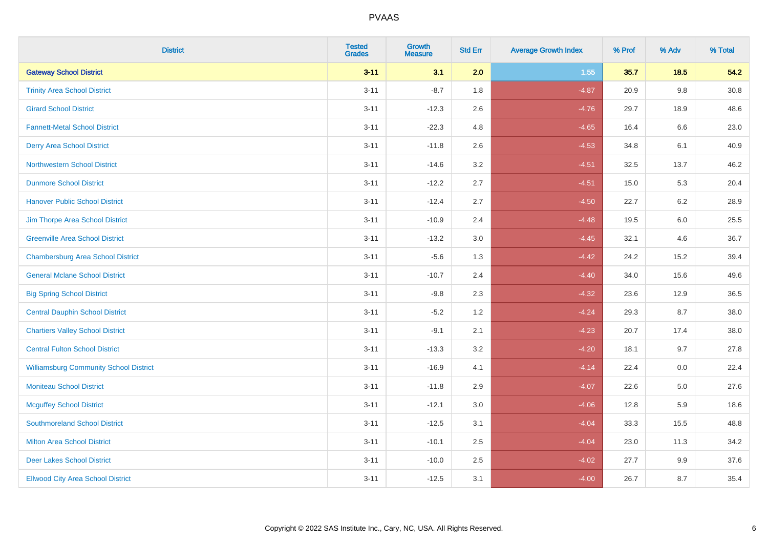| <b>District</b>                               | <b>Tested</b><br><b>Grades</b> | <b>Growth</b><br><b>Measure</b> | <b>Std Err</b> | <b>Average Growth Index</b> | % Prof | % Adv  | % Total |
|-----------------------------------------------|--------------------------------|---------------------------------|----------------|-----------------------------|--------|--------|---------|
| <b>Gateway School District</b>                | $3 - 11$                       | 3.1                             | 2.0            | 1.55                        | 35.7   | $18.5$ | 54.2    |
| <b>Trinity Area School District</b>           | $3 - 11$                       | $-8.7$                          | 1.8            | $-4.87$                     | 20.9   | 9.8    | 30.8    |
| <b>Girard School District</b>                 | $3 - 11$                       | $-12.3$                         | 2.6            | $-4.76$                     | 29.7   | 18.9   | 48.6    |
| <b>Fannett-Metal School District</b>          | $3 - 11$                       | $-22.3$                         | 4.8            | $-4.65$                     | 16.4   | 6.6    | 23.0    |
| <b>Derry Area School District</b>             | $3 - 11$                       | $-11.8$                         | 2.6            | $-4.53$                     | 34.8   | 6.1    | 40.9    |
| <b>Northwestern School District</b>           | $3 - 11$                       | $-14.6$                         | 3.2            | $-4.51$                     | 32.5   | 13.7   | 46.2    |
| <b>Dunmore School District</b>                | $3 - 11$                       | $-12.2$                         | 2.7            | $-4.51$                     | 15.0   | 5.3    | 20.4    |
| <b>Hanover Public School District</b>         | $3 - 11$                       | $-12.4$                         | 2.7            | $-4.50$                     | 22.7   | 6.2    | 28.9    |
| Jim Thorpe Area School District               | $3 - 11$                       | $-10.9$                         | 2.4            | $-4.48$                     | 19.5   | 6.0    | 25.5    |
| <b>Greenville Area School District</b>        | $3 - 11$                       | $-13.2$                         | 3.0            | $-4.45$                     | 32.1   | 4.6    | 36.7    |
| <b>Chambersburg Area School District</b>      | $3 - 11$                       | $-5.6$                          | 1.3            | $-4.42$                     | 24.2   | 15.2   | 39.4    |
| <b>General Mclane School District</b>         | $3 - 11$                       | $-10.7$                         | 2.4            | $-4.40$                     | 34.0   | 15.6   | 49.6    |
| <b>Big Spring School District</b>             | $3 - 11$                       | $-9.8$                          | 2.3            | $-4.32$                     | 23.6   | 12.9   | 36.5    |
| <b>Central Dauphin School District</b>        | $3 - 11$                       | $-5.2$                          | 1.2            | $-4.24$                     | 29.3   | 8.7    | 38.0    |
| <b>Chartiers Valley School District</b>       | $3 - 11$                       | $-9.1$                          | 2.1            | $-4.23$                     | 20.7   | 17.4   | 38.0    |
| <b>Central Fulton School District</b>         | $3 - 11$                       | $-13.3$                         | 3.2            | $-4.20$                     | 18.1   | 9.7    | 27.8    |
| <b>Williamsburg Community School District</b> | $3 - 11$                       | $-16.9$                         | 4.1            | $-4.14$                     | 22.4   | 0.0    | 22.4    |
| <b>Moniteau School District</b>               | $3 - 11$                       | $-11.8$                         | 2.9            | $-4.07$                     | 22.6   | 5.0    | 27.6    |
| <b>Mcguffey School District</b>               | $3 - 11$                       | $-12.1$                         | 3.0            | $-4.06$                     | 12.8   | 5.9    | 18.6    |
| <b>Southmoreland School District</b>          | $3 - 11$                       | $-12.5$                         | 3.1            | $-4.04$                     | 33.3   | 15.5   | 48.8    |
| <b>Milton Area School District</b>            | $3 - 11$                       | $-10.1$                         | 2.5            | $-4.04$                     | 23.0   | 11.3   | 34.2    |
| <b>Deer Lakes School District</b>             | $3 - 11$                       | $-10.0$                         | 2.5            | $-4.02$                     | 27.7   | 9.9    | 37.6    |
| <b>Ellwood City Area School District</b>      | $3 - 11$                       | $-12.5$                         | 3.1            | $-4.00$                     | 26.7   | 8.7    | 35.4    |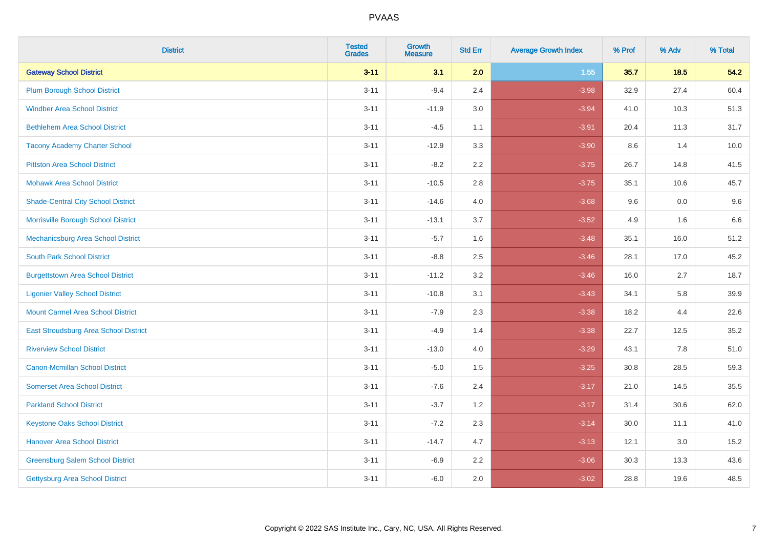| <b>District</b>                           | <b>Tested</b><br><b>Grades</b> | Growth<br><b>Measure</b> | <b>Std Err</b> | <b>Average Growth Index</b> | % Prof | % Adv | % Total |
|-------------------------------------------|--------------------------------|--------------------------|----------------|-----------------------------|--------|-------|---------|
| <b>Gateway School District</b>            | $3 - 11$                       | 3.1                      | 2.0            | 1.55                        | 35.7   | 18.5  | 54.2    |
| <b>Plum Borough School District</b>       | $3 - 11$                       | $-9.4$                   | 2.4            | $-3.98$                     | 32.9   | 27.4  | 60.4    |
| <b>Windber Area School District</b>       | $3 - 11$                       | $-11.9$                  | 3.0            | $-3.94$                     | 41.0   | 10.3  | 51.3    |
| <b>Bethlehem Area School District</b>     | $3 - 11$                       | $-4.5$                   | 1.1            | $-3.91$                     | 20.4   | 11.3  | 31.7    |
| <b>Tacony Academy Charter School</b>      | $3 - 11$                       | $-12.9$                  | 3.3            | $-3.90$                     | 8.6    | 1.4   | 10.0    |
| <b>Pittston Area School District</b>      | $3 - 11$                       | $-8.2$                   | 2.2            | $-3.75$                     | 26.7   | 14.8  | 41.5    |
| <b>Mohawk Area School District</b>        | $3 - 11$                       | $-10.5$                  | 2.8            | $-3.75$                     | 35.1   | 10.6  | 45.7    |
| <b>Shade-Central City School District</b> | $3 - 11$                       | $-14.6$                  | 4.0            | $-3.68$                     | 9.6    | 0.0   | 9.6     |
| Morrisville Borough School District       | $3 - 11$                       | $-13.1$                  | 3.7            | $-3.52$                     | 4.9    | 1.6   | 6.6     |
| <b>Mechanicsburg Area School District</b> | $3 - 11$                       | $-5.7$                   | 1.6            | $-3.48$                     | 35.1   | 16.0  | 51.2    |
| <b>South Park School District</b>         | $3 - 11$                       | $-8.8$                   | 2.5            | $-3.46$                     | 28.1   | 17.0  | 45.2    |
| <b>Burgettstown Area School District</b>  | $3 - 11$                       | $-11.2$                  | 3.2            | $-3.46$                     | 16.0   | 2.7   | 18.7    |
| <b>Ligonier Valley School District</b>    | $3 - 11$                       | $-10.8$                  | 3.1            | $-3.43$                     | 34.1   | 5.8   | 39.9    |
| <b>Mount Carmel Area School District</b>  | $3 - 11$                       | $-7.9$                   | 2.3            | $-3.38$                     | 18.2   | 4.4   | 22.6    |
| East Stroudsburg Area School District     | $3 - 11$                       | $-4.9$                   | 1.4            | $-3.38$                     | 22.7   | 12.5  | 35.2    |
| <b>Riverview School District</b>          | $3 - 11$                       | $-13.0$                  | 4.0            | $-3.29$                     | 43.1   | 7.8   | 51.0    |
| <b>Canon-Mcmillan School District</b>     | $3 - 11$                       | $-5.0$                   | 1.5            | $-3.25$                     | 30.8   | 28.5  | 59.3    |
| <b>Somerset Area School District</b>      | $3 - 11$                       | $-7.6$                   | 2.4            | $-3.17$                     | 21.0   | 14.5  | 35.5    |
| <b>Parkland School District</b>           | $3 - 11$                       | $-3.7$                   | 1.2            | $-3.17$                     | 31.4   | 30.6  | 62.0    |
| <b>Keystone Oaks School District</b>      | $3 - 11$                       | $-7.2$                   | 2.3            | $-3.14$                     | 30.0   | 11.1  | 41.0    |
| <b>Hanover Area School District</b>       | $3 - 11$                       | $-14.7$                  | 4.7            | $-3.13$                     | 12.1   | 3.0   | 15.2    |
| <b>Greensburg Salem School District</b>   | $3 - 11$                       | $-6.9$                   | 2.2            | $-3.06$                     | 30.3   | 13.3  | 43.6    |
| <b>Gettysburg Area School District</b>    | $3 - 11$                       | $-6.0$                   | 2.0            | $-3.02$                     | 28.8   | 19.6  | 48.5    |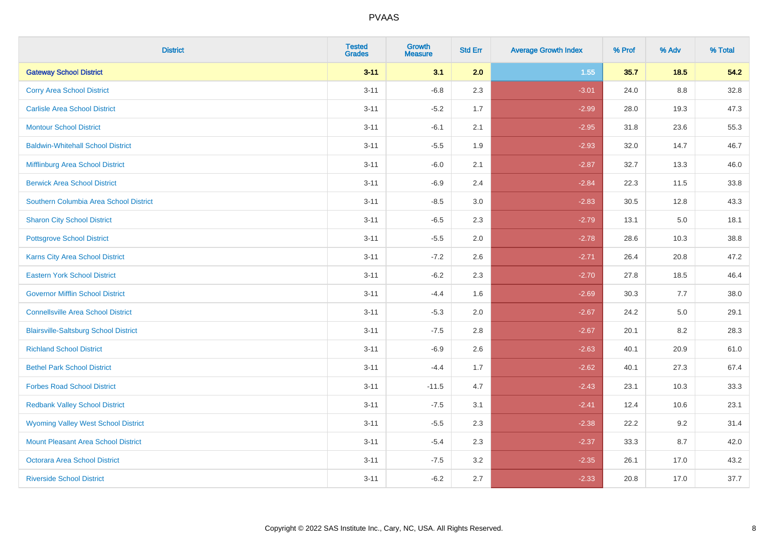| <b>District</b>                              | <b>Tested</b><br><b>Grades</b> | <b>Growth</b><br><b>Measure</b> | <b>Std Err</b> | <b>Average Growth Index</b> | % Prof | % Adv   | % Total |
|----------------------------------------------|--------------------------------|---------------------------------|----------------|-----------------------------|--------|---------|---------|
| <b>Gateway School District</b>               | $3 - 11$                       | 3.1                             | 2.0            | 1.55                        | 35.7   | 18.5    | 54.2    |
| <b>Corry Area School District</b>            | $3 - 11$                       | $-6.8$                          | 2.3            | $-3.01$                     | 24.0   | 8.8     | 32.8    |
| <b>Carlisle Area School District</b>         | $3 - 11$                       | $-5.2$                          | 1.7            | $-2.99$                     | 28.0   | 19.3    | 47.3    |
| <b>Montour School District</b>               | $3 - 11$                       | $-6.1$                          | 2.1            | $-2.95$                     | 31.8   | 23.6    | 55.3    |
| <b>Baldwin-Whitehall School District</b>     | $3 - 11$                       | $-5.5$                          | 1.9            | $-2.93$                     | 32.0   | 14.7    | 46.7    |
| Mifflinburg Area School District             | $3 - 11$                       | $-6.0$                          | 2.1            | $-2.87$                     | 32.7   | 13.3    | 46.0    |
| <b>Berwick Area School District</b>          | $3 - 11$                       | $-6.9$                          | 2.4            | $-2.84$                     | 22.3   | 11.5    | 33.8    |
| Southern Columbia Area School District       | $3 - 11$                       | $-8.5$                          | 3.0            | $-2.83$                     | 30.5   | 12.8    | 43.3    |
| <b>Sharon City School District</b>           | $3 - 11$                       | $-6.5$                          | 2.3            | $-2.79$                     | 13.1   | $5.0\,$ | 18.1    |
| <b>Pottsgrove School District</b>            | $3 - 11$                       | $-5.5$                          | 2.0            | $-2.78$                     | 28.6   | 10.3    | 38.8    |
| <b>Karns City Area School District</b>       | $3 - 11$                       | $-7.2$                          | 2.6            | $-2.71$                     | 26.4   | 20.8    | 47.2    |
| <b>Eastern York School District</b>          | $3 - 11$                       | $-6.2$                          | 2.3            | $-2.70$                     | 27.8   | 18.5    | 46.4    |
| <b>Governor Mifflin School District</b>      | $3 - 11$                       | $-4.4$                          | 1.6            | $-2.69$                     | 30.3   | 7.7     | 38.0    |
| <b>Connellsville Area School District</b>    | $3 - 11$                       | $-5.3$                          | 2.0            | $-2.67$                     | 24.2   | 5.0     | 29.1    |
| <b>Blairsville-Saltsburg School District</b> | $3 - 11$                       | $-7.5$                          | 2.8            | $-2.67$                     | 20.1   | 8.2     | 28.3    |
| <b>Richland School District</b>              | $3 - 11$                       | $-6.9$                          | 2.6            | $-2.63$                     | 40.1   | 20.9    | 61.0    |
| <b>Bethel Park School District</b>           | $3 - 11$                       | $-4.4$                          | 1.7            | $-2.62$                     | 40.1   | 27.3    | 67.4    |
| <b>Forbes Road School District</b>           | $3 - 11$                       | $-11.5$                         | 4.7            | $-2.43$                     | 23.1   | 10.3    | 33.3    |
| <b>Redbank Valley School District</b>        | $3 - 11$                       | $-7.5$                          | 3.1            | $-2.41$                     | 12.4   | 10.6    | 23.1    |
| <b>Wyoming Valley West School District</b>   | $3 - 11$                       | $-5.5$                          | 2.3            | $-2.38$                     | 22.2   | 9.2     | 31.4    |
| <b>Mount Pleasant Area School District</b>   | $3 - 11$                       | $-5.4$                          | 2.3            | $-2.37$                     | 33.3   | 8.7     | 42.0    |
| <b>Octorara Area School District</b>         | $3 - 11$                       | $-7.5$                          | 3.2            | $-2.35$                     | 26.1   | 17.0    | 43.2    |
| <b>Riverside School District</b>             | $3 - 11$                       | $-6.2$                          | 2.7            | $-2.33$                     | 20.8   | 17.0    | 37.7    |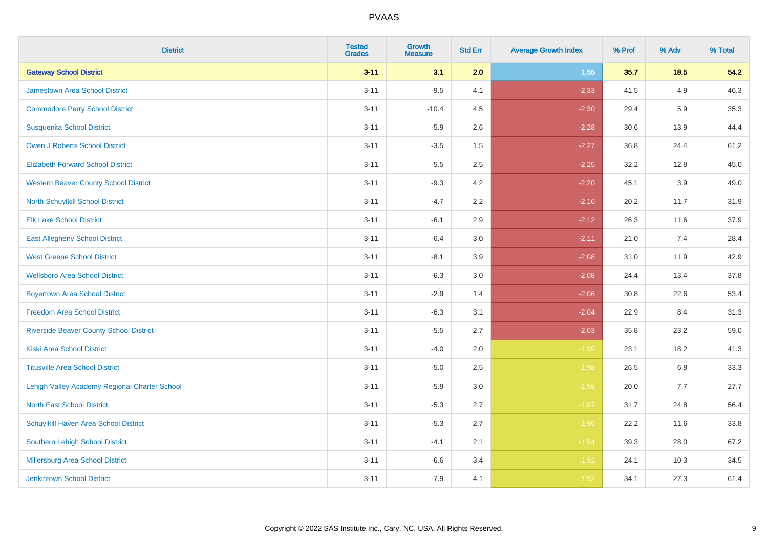| <b>District</b>                                | <b>Tested</b><br><b>Grades</b> | <b>Growth</b><br><b>Measure</b> | <b>Std Err</b> | <b>Average Growth Index</b> | % Prof | % Adv  | % Total |
|------------------------------------------------|--------------------------------|---------------------------------|----------------|-----------------------------|--------|--------|---------|
| <b>Gateway School District</b>                 | $3 - 11$                       | 3.1                             | 2.0            | 1.55                        | 35.7   | $18.5$ | 54.2    |
| <b>Jamestown Area School District</b>          | $3 - 11$                       | $-9.5$                          | 4.1            | $-2.33$                     | 41.5   | 4.9    | 46.3    |
| <b>Commodore Perry School District</b>         | $3 - 11$                       | $-10.4$                         | 4.5            | $-2.30$                     | 29.4   | 5.9    | 35.3    |
| <b>Susquenita School District</b>              | $3 - 11$                       | $-5.9$                          | 2.6            | $-2.28$                     | 30.6   | 13.9   | 44.4    |
| Owen J Roberts School District                 | $3 - 11$                       | $-3.5$                          | 1.5            | $-2.27$                     | 36.8   | 24.4   | 61.2    |
| <b>Elizabeth Forward School District</b>       | $3 - 11$                       | $-5.5$                          | 2.5            | $-2.25$                     | 32.2   | 12.8   | 45.0    |
| <b>Western Beaver County School District</b>   | $3 - 11$                       | $-9.3$                          | 4.2            | $-2.20$                     | 45.1   | 3.9    | 49.0    |
| North Schuylkill School District               | $3 - 11$                       | $-4.7$                          | 2.2            | $-2.16$                     | 20.2   | 11.7   | 31.9    |
| <b>Elk Lake School District</b>                | $3 - 11$                       | $-6.1$                          | 2.9            | $-2.12$                     | 26.3   | 11.6   | 37.9    |
| <b>East Allegheny School District</b>          | $3 - 11$                       | $-6.4$                          | 3.0            | $-2.11$                     | 21.0   | 7.4    | 28.4    |
| <b>West Greene School District</b>             | $3 - 11$                       | $-8.1$                          | 3.9            | $-2.08$                     | 31.0   | 11.9   | 42.9    |
| <b>Wellsboro Area School District</b>          | $3 - 11$                       | $-6.3$                          | 3.0            | $-2.08$                     | 24.4   | 13.4   | 37.8    |
| <b>Boyertown Area School District</b>          | $3 - 11$                       | $-2.9$                          | 1.4            | $-2.06$                     | 30.8   | 22.6   | 53.4    |
| <b>Freedom Area School District</b>            | $3 - 11$                       | $-6.3$                          | 3.1            | $-2.04$                     | 22.9   | 8.4    | 31.3    |
| <b>Riverside Beaver County School District</b> | $3 - 11$                       | $-5.5$                          | 2.7            | $-2.03$                     | 35.8   | 23.2   | 59.0    |
| <b>Kiski Area School District</b>              | $3 - 11$                       | $-4.0$                          | 2.0            | $-1.99$                     | 23.1   | 18.2   | 41.3    |
| <b>Titusville Area School District</b>         | $3 - 11$                       | $-5.0$                          | 2.5            | $-1.98$                     | 26.5   | 6.8    | 33.3    |
| Lehigh Valley Academy Regional Charter School  | $3 - 11$                       | $-5.9$                          | 3.0            | $-1.98$                     | 20.0   | 7.7    | 27.7    |
| <b>North East School District</b>              | $3 - 11$                       | $-5.3$                          | 2.7            | $-1.97$                     | 31.7   | 24.8   | 56.4    |
| Schuylkill Haven Area School District          | $3 - 11$                       | $-5.3$                          | 2.7            | $-1.96$                     | 22.2   | 11.6   | 33.8    |
| Southern Lehigh School District                | $3 - 11$                       | $-4.1$                          | 2.1            | $-1.94$                     | 39.3   | 28.0   | 67.2    |
| Millersburg Area School District               | $3 - 11$                       | $-6.6$                          | 3.4            | $-1.92$                     | 24.1   | 10.3   | 34.5    |
| <b>Jenkintown School District</b>              | $3 - 11$                       | $-7.9$                          | 4.1            | $-1.92$                     | 34.1   | 27.3   | 61.4    |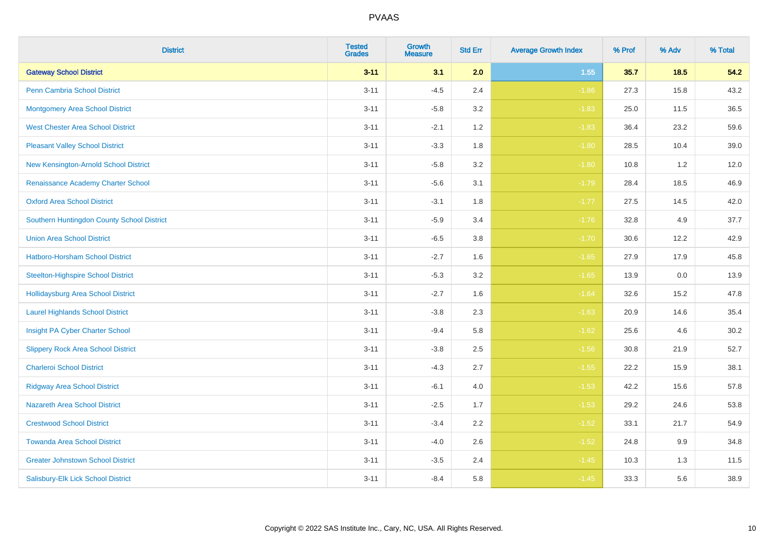| <b>District</b>                            | <b>Tested</b><br><b>Grades</b> | <b>Growth</b><br><b>Measure</b> | <b>Std Err</b> | <b>Average Growth Index</b> | % Prof | % Adv | % Total |
|--------------------------------------------|--------------------------------|---------------------------------|----------------|-----------------------------|--------|-------|---------|
| <b>Gateway School District</b>             | $3 - 11$                       | 3.1                             | 2.0            | 1.55                        | 35.7   | 18.5  | 54.2    |
| <b>Penn Cambria School District</b>        | $3 - 11$                       | $-4.5$                          | 2.4            | $-1.86$                     | 27.3   | 15.8  | 43.2    |
| <b>Montgomery Area School District</b>     | $3 - 11$                       | $-5.8$                          | 3.2            | $-1.83$                     | 25.0   | 11.5  | 36.5    |
| <b>West Chester Area School District</b>   | $3 - 11$                       | $-2.1$                          | 1.2            | $-1.83$                     | 36.4   | 23.2  | 59.6    |
| <b>Pleasant Valley School District</b>     | $3 - 11$                       | $-3.3$                          | 1.8            | $-1.80$                     | 28.5   | 10.4  | 39.0    |
| New Kensington-Arnold School District      | $3 - 11$                       | $-5.8$                          | 3.2            | $-1.80$                     | 10.8   | 1.2   | 12.0    |
| Renaissance Academy Charter School         | $3 - 11$                       | $-5.6$                          | 3.1            | $-1.79$                     | 28.4   | 18.5  | 46.9    |
| <b>Oxford Area School District</b>         | $3 - 11$                       | $-3.1$                          | 1.8            | $-1.77$                     | 27.5   | 14.5  | 42.0    |
| Southern Huntingdon County School District | $3 - 11$                       | $-5.9$                          | 3.4            | $-1.76$                     | 32.8   | 4.9   | 37.7    |
| <b>Union Area School District</b>          | $3 - 11$                       | $-6.5$                          | 3.8            | $-1.70$                     | 30.6   | 12.2  | 42.9    |
| Hatboro-Horsham School District            | $3 - 11$                       | $-2.7$                          | 1.6            | $-1.65$                     | 27.9   | 17.9  | 45.8    |
| <b>Steelton-Highspire School District</b>  | $3 - 11$                       | $-5.3$                          | 3.2            | $-1.65$                     | 13.9   | 0.0   | 13.9    |
| <b>Hollidaysburg Area School District</b>  | $3 - 11$                       | $-2.7$                          | 1.6            | $-1.64$                     | 32.6   | 15.2  | 47.8    |
| <b>Laurel Highlands School District</b>    | $3 - 11$                       | $-3.8$                          | 2.3            | $-1.63$                     | 20.9   | 14.6  | 35.4    |
| Insight PA Cyber Charter School            | $3 - 11$                       | $-9.4$                          | 5.8            | $-1.62$                     | 25.6   | 4.6   | 30.2    |
| <b>Slippery Rock Area School District</b>  | $3 - 11$                       | $-3.8$                          | 2.5            | $-1.56$                     | 30.8   | 21.9  | 52.7    |
| <b>Charleroi School District</b>           | $3 - 11$                       | $-4.3$                          | 2.7            | $-1.55$                     | 22.2   | 15.9  | 38.1    |
| <b>Ridgway Area School District</b>        | $3 - 11$                       | $-6.1$                          | 4.0            | $-1.53$                     | 42.2   | 15.6  | 57.8    |
| <b>Nazareth Area School District</b>       | $3 - 11$                       | $-2.5$                          | 1.7            | $-1.53$                     | 29.2   | 24.6  | 53.8    |
| <b>Crestwood School District</b>           | $3 - 11$                       | $-3.4$                          | 2.2            | $-1.52$                     | 33.1   | 21.7  | 54.9    |
| <b>Towanda Area School District</b>        | $3 - 11$                       | $-4.0$                          | 2.6            | $-1.52$                     | 24.8   | 9.9   | 34.8    |
| <b>Greater Johnstown School District</b>   | $3 - 11$                       | $-3.5$                          | 2.4            | $-1.45$                     | 10.3   | 1.3   | 11.5    |
| Salisbury-Elk Lick School District         | $3 - 11$                       | $-8.4$                          | 5.8            | $-1.45$                     | 33.3   | 5.6   | 38.9    |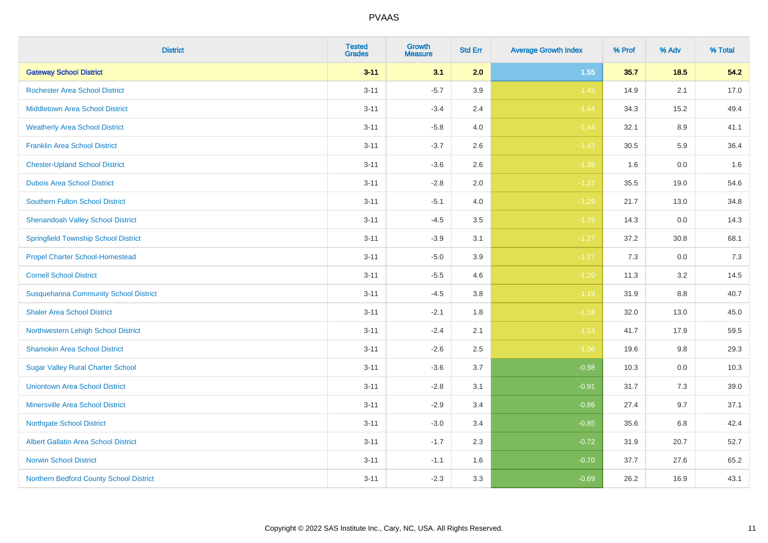| <b>District</b>                              | <b>Tested</b><br><b>Grades</b> | Growth<br><b>Measure</b> | <b>Std Err</b> | <b>Average Growth Index</b> | % Prof | % Adv   | % Total |
|----------------------------------------------|--------------------------------|--------------------------|----------------|-----------------------------|--------|---------|---------|
| <b>Gateway School District</b>               | $3 - 11$                       | 3.1                      | 2.0            | 1.55                        | 35.7   | $18.5$  | 54.2    |
| <b>Rochester Area School District</b>        | $3 - 11$                       | $-5.7$                   | 3.9            | $-1.45$                     | 14.9   | 2.1     | 17.0    |
| <b>Middletown Area School District</b>       | $3 - 11$                       | $-3.4$                   | 2.4            | $-1.44$                     | 34.3   | 15.2    | 49.4    |
| <b>Weatherly Area School District</b>        | $3 - 11$                       | $-5.8$                   | 4.0            | $-1.44$                     | 32.1   | $8.9\,$ | 41.1    |
| <b>Franklin Area School District</b>         | $3 - 11$                       | $-3.7$                   | 2.6            | $-1.43$                     | 30.5   | 5.9     | 36.4    |
| <b>Chester-Upland School District</b>        | $3 - 11$                       | $-3.6$                   | 2.6            | $-1.38$                     | 1.6    | 0.0     | 1.6     |
| <b>Dubois Area School District</b>           | $3 - 11$                       | $-2.8$                   | 2.0            | $-1.37$                     | 35.5   | 19.0    | 54.6    |
| <b>Southern Fulton School District</b>       | $3 - 11$                       | $-5.1$                   | 4.0            | $-1.29$                     | 21.7   | 13.0    | 34.8    |
| <b>Shenandoah Valley School District</b>     | $3 - 11$                       | $-4.5$                   | 3.5            | $-1.29$                     | 14.3   | 0.0     | 14.3    |
| <b>Springfield Township School District</b>  | $3 - 11$                       | $-3.9$                   | 3.1            | $-1.27$                     | 37.2   | 30.8    | 68.1    |
| <b>Propel Charter School-Homestead</b>       | $3 - 11$                       | $-5.0$                   | 3.9            | $-1.27$                     | 7.3    | 0.0     | 7.3     |
| <b>Cornell School District</b>               | $3 - 11$                       | $-5.5$                   | 4.6            | $-1.20$                     | 11.3   | 3.2     | 14.5    |
| <b>Susquehanna Community School District</b> | $3 - 11$                       | $-4.5$                   | 3.8            | $-1.19$                     | 31.9   | $8.8\,$ | 40.7    |
| <b>Shaler Area School District</b>           | $3 - 11$                       | $-2.1$                   | 1.8            | $-1.18$                     | 32.0   | 13.0    | 45.0    |
| Northwestern Lehigh School District          | $3 - 11$                       | $-2.4$                   | 2.1            | $-1.14$                     | 41.7   | 17.9    | 59.5    |
| <b>Shamokin Area School District</b>         | $3 - 11$                       | $-2.6$                   | 2.5            | $-1.06$                     | 19.6   | 9.8     | 29.3    |
| <b>Sugar Valley Rural Charter School</b>     | $3 - 11$                       | $-3.6$                   | 3.7            | $-0.98$                     | 10.3   | 0.0     | 10.3    |
| <b>Uniontown Area School District</b>        | $3 - 11$                       | $-2.8$                   | 3.1            | $-0.91$                     | 31.7   | 7.3     | 39.0    |
| <b>Minersville Area School District</b>      | $3 - 11$                       | $-2.9$                   | 3.4            | $-0.86$                     | 27.4   | 9.7     | 37.1    |
| <b>Northgate School District</b>             | $3 - 11$                       | $-3.0$                   | 3.4            | $-0.85$                     | 35.6   | 6.8     | 42.4    |
| Albert Gallatin Area School District         | $3 - 11$                       | $-1.7$                   | 2.3            | $-0.72$                     | 31.9   | 20.7    | 52.7    |
| <b>Norwin School District</b>                | $3 - 11$                       | $-1.1$                   | 1.6            | $-0.70$                     | 37.7   | 27.6    | 65.2    |
| Northern Bedford County School District      | $3 - 11$                       | $-2.3$                   | 3.3            | $-0.69$                     | 26.2   | 16.9    | 43.1    |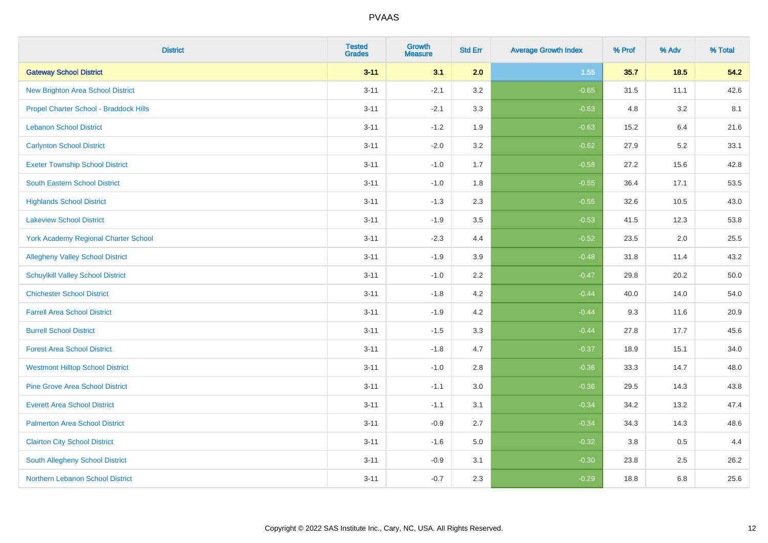| <b>District</b>                             | <b>Tested</b><br><b>Grades</b> | <b>Growth</b><br><b>Measure</b> | <b>Std Err</b> | <b>Average Growth Index</b> | % Prof | % Adv  | % Total |
|---------------------------------------------|--------------------------------|---------------------------------|----------------|-----------------------------|--------|--------|---------|
| <b>Gateway School District</b>              | $3 - 11$                       | 3.1                             | 2.0            | 1.55                        | 35.7   | $18.5$ | 54.2    |
| <b>New Brighton Area School District</b>    | $3 - 11$                       | $-2.1$                          | 3.2            | $-0.65$                     | 31.5   | 11.1   | 42.6    |
| Propel Charter School - Braddock Hills      | $3 - 11$                       | $-2.1$                          | 3.3            | $-0.63$                     | 4.8    | 3.2    | 8.1     |
| <b>Lebanon School District</b>              | $3 - 11$                       | $-1.2$                          | 1.9            | $-0.63$                     | 15.2   | 6.4    | 21.6    |
| <b>Carlynton School District</b>            | $3 - 11$                       | $-2.0$                          | 3.2            | $-0.62$                     | 27.9   | 5.2    | 33.1    |
| <b>Exeter Township School District</b>      | $3 - 11$                       | $-1.0$                          | 1.7            | $-0.58$                     | 27.2   | 15.6   | 42.8    |
| South Eastern School District               | $3 - 11$                       | $-1.0$                          | 1.8            | $-0.55$                     | 36.4   | 17.1   | 53.5    |
| <b>Highlands School District</b>            | $3 - 11$                       | $-1.3$                          | 2.3            | $-0.55$                     | 32.6   | 10.5   | 43.0    |
| <b>Lakeview School District</b>             | $3 - 11$                       | $-1.9$                          | 3.5            | $-0.53$                     | 41.5   | 12.3   | 53.8    |
| <b>York Academy Regional Charter School</b> | $3 - 11$                       | $-2.3$                          | 4.4            | $-0.52$                     | 23.5   | 2.0    | 25.5    |
| <b>Allegheny Valley School District</b>     | $3 - 11$                       | $-1.9$                          | 3.9            | $-0.48$                     | 31.8   | 11.4   | 43.2    |
| <b>Schuylkill Valley School District</b>    | $3 - 11$                       | $-1.0$                          | 2.2            | $-0.47$                     | 29.8   | 20.2   | 50.0    |
| <b>Chichester School District</b>           | $3 - 11$                       | $-1.8$                          | 4.2            | $-0.44$                     | 40.0   | 14.0   | 54.0    |
| <b>Farrell Area School District</b>         | $3 - 11$                       | $-1.9$                          | 4.2            | $-0.44$                     | 9.3    | 11.6   | 20.9    |
| <b>Burrell School District</b>              | $3 - 11$                       | $-1.5$                          | 3.3            | $-0.44$                     | 27.8   | 17.7   | 45.6    |
| <b>Forest Area School District</b>          | $3 - 11$                       | $-1.8$                          | 4.7            | $-0.37$                     | 18.9   | 15.1   | 34.0    |
| <b>Westmont Hilltop School District</b>     | $3 - 11$                       | $-1.0$                          | 2.8            | $-0.36$                     | 33.3   | 14.7   | 48.0    |
| <b>Pine Grove Area School District</b>      | $3 - 11$                       | $-1.1$                          | 3.0            | $-0.36$                     | 29.5   | 14.3   | 43.8    |
| <b>Everett Area School District</b>         | $3 - 11$                       | $-1.1$                          | 3.1            | $-0.34$                     | 34.2   | 13.2   | 47.4    |
| <b>Palmerton Area School District</b>       | $3 - 11$                       | $-0.9$                          | 2.7            | $-0.34$                     | 34.3   | 14.3   | 48.6    |
| <b>Clairton City School District</b>        | $3 - 11$                       | $-1.6$                          | 5.0            | $-0.32$                     | 3.8    | 0.5    | 4.4     |
| South Allegheny School District             | $3 - 11$                       | $-0.9$                          | 3.1            | $-0.30$                     | 23.8   | 2.5    | 26.2    |
| Northern Lebanon School District            | $3 - 11$                       | $-0.7$                          | 2.3            | $-0.29$                     | 18.8   | 6.8    | 25.6    |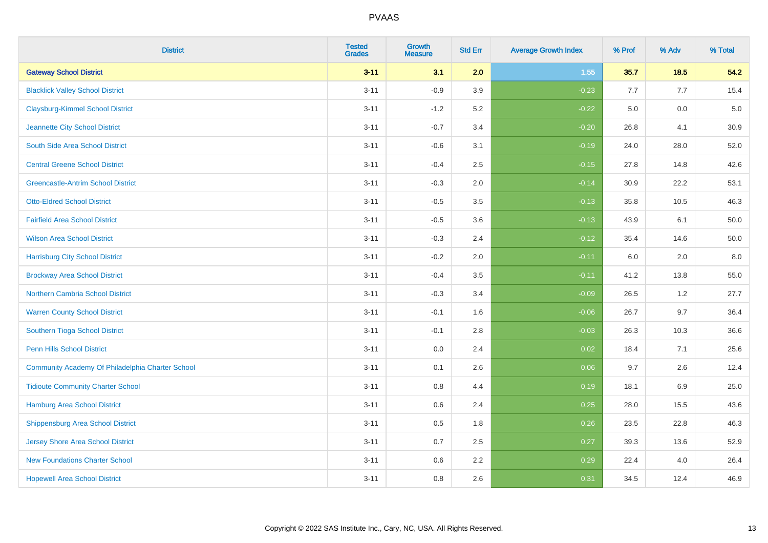| <b>District</b>                                  | <b>Tested</b><br><b>Grades</b> | <b>Growth</b><br><b>Measure</b> | <b>Std Err</b> | <b>Average Growth Index</b> | % Prof | % Adv  | % Total |
|--------------------------------------------------|--------------------------------|---------------------------------|----------------|-----------------------------|--------|--------|---------|
| <b>Gateway School District</b>                   | $3 - 11$                       | 3.1                             | 2.0            | 1.55                        | 35.7   | $18.5$ | 54.2    |
| <b>Blacklick Valley School District</b>          | $3 - 11$                       | $-0.9$                          | 3.9            | $-0.23$                     | 7.7    | 7.7    | 15.4    |
| <b>Claysburg-Kimmel School District</b>          | $3 - 11$                       | $-1.2$                          | 5.2            | $-0.22$                     | 5.0    | 0.0    | 5.0     |
| Jeannette City School District                   | $3 - 11$                       | $-0.7$                          | 3.4            | $-0.20$                     | 26.8   | 4.1    | 30.9    |
| South Side Area School District                  | $3 - 11$                       | $-0.6$                          | 3.1            | $-0.19$                     | 24.0   | 28.0   | 52.0    |
| <b>Central Greene School District</b>            | $3 - 11$                       | $-0.4$                          | 2.5            | $-0.15$                     | 27.8   | 14.8   | 42.6    |
| <b>Greencastle-Antrim School District</b>        | $3 - 11$                       | $-0.3$                          | 2.0            | $-0.14$                     | 30.9   | 22.2   | 53.1    |
| <b>Otto-Eldred School District</b>               | $3 - 11$                       | $-0.5$                          | 3.5            | $-0.13$                     | 35.8   | 10.5   | 46.3    |
| <b>Fairfield Area School District</b>            | $3 - 11$                       | $-0.5$                          | 3.6            | $-0.13$                     | 43.9   | 6.1    | 50.0    |
| <b>Wilson Area School District</b>               | $3 - 11$                       | $-0.3$                          | 2.4            | $-0.12$                     | 35.4   | 14.6   | 50.0    |
| <b>Harrisburg City School District</b>           | $3 - 11$                       | $-0.2$                          | 2.0            | $-0.11$                     | 6.0    | 2.0    | 8.0     |
| <b>Brockway Area School District</b>             | $3 - 11$                       | $-0.4$                          | 3.5            | $-0.11$                     | 41.2   | 13.8   | 55.0    |
| <b>Northern Cambria School District</b>          | $3 - 11$                       | $-0.3$                          | 3.4            | $-0.09$                     | 26.5   | 1.2    | 27.7    |
| <b>Warren County School District</b>             | $3 - 11$                       | $-0.1$                          | 1.6            | $-0.06$                     | 26.7   | 9.7    | 36.4    |
| Southern Tioga School District                   | $3 - 11$                       | $-0.1$                          | 2.8            | $-0.03$                     | 26.3   | 10.3   | 36.6    |
| <b>Penn Hills School District</b>                | $3 - 11$                       | 0.0                             | 2.4            | 0.02                        | 18.4   | 7.1    | 25.6    |
| Community Academy Of Philadelphia Charter School | $3 - 11$                       | 0.1                             | 2.6            | 0.06                        | 9.7    | 2.6    | 12.4    |
| <b>Tidioute Community Charter School</b>         | $3 - 11$                       | 0.8                             | 4.4            | 0.19                        | 18.1   | 6.9    | 25.0    |
| <b>Hamburg Area School District</b>              | $3 - 11$                       | $0.6\,$                         | 2.4            | 0.25                        | 28.0   | 15.5   | 43.6    |
| <b>Shippensburg Area School District</b>         | $3 - 11$                       | 0.5                             | 1.8            | 0.26                        | 23.5   | 22.8   | 46.3    |
| <b>Jersey Shore Area School District</b>         | $3 - 11$                       | 0.7                             | 2.5            | 0.27                        | 39.3   | 13.6   | 52.9    |
| <b>New Foundations Charter School</b>            | $3 - 11$                       | $0.6\,$                         | 2.2            | 0.29                        | 22.4   | 4.0    | 26.4    |
| <b>Hopewell Area School District</b>             | $3 - 11$                       | 0.8                             | 2.6            | 0.31                        | 34.5   | 12.4   | 46.9    |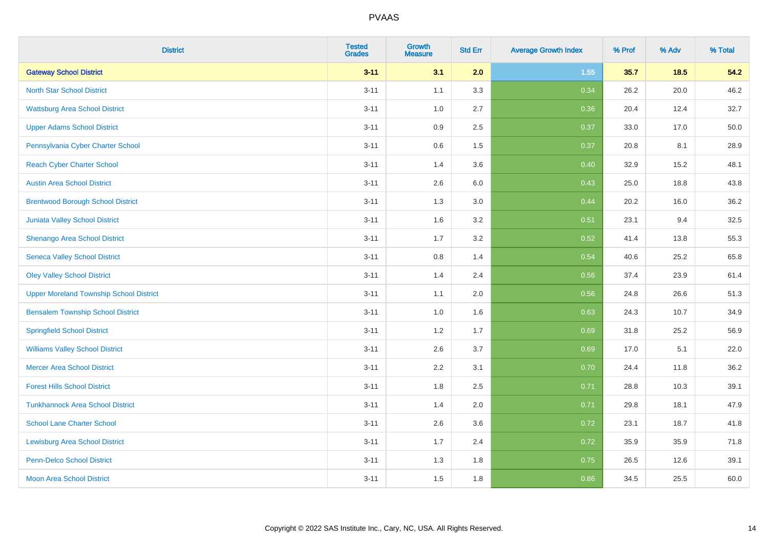| <b>District</b>                                | <b>Tested</b><br><b>Grades</b> | <b>Growth</b><br><b>Measure</b> | <b>Std Err</b> | <b>Average Growth Index</b> | % Prof | % Adv  | % Total |
|------------------------------------------------|--------------------------------|---------------------------------|----------------|-----------------------------|--------|--------|---------|
| <b>Gateway School District</b>                 | $3 - 11$                       | 3.1                             | 2.0            | 1.55                        | 35.7   | $18.5$ | 54.2    |
| <b>North Star School District</b>              | $3 - 11$                       | 1.1                             | 3.3            | 0.34                        | 26.2   | 20.0   | 46.2    |
| <b>Wattsburg Area School District</b>          | $3 - 11$                       | 1.0                             | 2.7            | 0.36                        | 20.4   | 12.4   | 32.7    |
| <b>Upper Adams School District</b>             | $3 - 11$                       | $0.9\,$                         | 2.5            | 0.37                        | 33.0   | 17.0   | 50.0    |
| Pennsylvania Cyber Charter School              | $3 - 11$                       | 0.6                             | 1.5            | 0.37                        | 20.8   | 8.1    | 28.9    |
| <b>Reach Cyber Charter School</b>              | $3 - 11$                       | 1.4                             | 3.6            | 0.40                        | 32.9   | 15.2   | 48.1    |
| <b>Austin Area School District</b>             | $3 - 11$                       | 2.6                             | 6.0            | 0.43                        | 25.0   | 18.8   | 43.8    |
| <b>Brentwood Borough School District</b>       | $3 - 11$                       | 1.3                             | 3.0            | 0.44                        | 20.2   | 16.0   | 36.2    |
| Juniata Valley School District                 | $3 - 11$                       | 1.6                             | 3.2            | 0.51                        | 23.1   | 9.4    | 32.5    |
| Shenango Area School District                  | $3 - 11$                       | 1.7                             | 3.2            | 0.52                        | 41.4   | 13.8   | 55.3    |
| <b>Seneca Valley School District</b>           | $3 - 11$                       | 0.8                             | 1.4            | 0.54                        | 40.6   | 25.2   | 65.8    |
| <b>Oley Valley School District</b>             | $3 - 11$                       | 1.4                             | 2.4            | 0.56                        | 37.4   | 23.9   | 61.4    |
| <b>Upper Moreland Township School District</b> | $3 - 11$                       | 1.1                             | 2.0            | 0.56                        | 24.8   | 26.6   | 51.3    |
| <b>Bensalem Township School District</b>       | $3 - 11$                       | 1.0                             | 1.6            | 0.63                        | 24.3   | 10.7   | 34.9    |
| <b>Springfield School District</b>             | $3 - 11$                       | 1.2                             | 1.7            | 0.69                        | 31.8   | 25.2   | 56.9    |
| <b>Williams Valley School District</b>         | $3 - 11$                       | 2.6                             | 3.7            | 0.69                        | 17.0   | 5.1    | 22.0    |
| <b>Mercer Area School District</b>             | $3 - 11$                       | $2.2\,$                         | 3.1            | 0.70                        | 24.4   | 11.8   | 36.2    |
| <b>Forest Hills School District</b>            | $3 - 11$                       | 1.8                             | 2.5            | 0.71                        | 28.8   | 10.3   | 39.1    |
| <b>Tunkhannock Area School District</b>        | $3 - 11$                       | 1.4                             | 2.0            | 0.71                        | 29.8   | 18.1   | 47.9    |
| <b>School Lane Charter School</b>              | $3 - 11$                       | 2.6                             | 3.6            | 0.72                        | 23.1   | 18.7   | 41.8    |
| <b>Lewisburg Area School District</b>          | $3 - 11$                       | 1.7                             | 2.4            | 0.72                        | 35.9   | 35.9   | 71.8    |
| <b>Penn-Delco School District</b>              | $3 - 11$                       | 1.3                             | 1.8            | 0.75                        | 26.5   | 12.6   | 39.1    |
| <b>Moon Area School District</b>               | $3 - 11$                       | 1.5                             | 1.8            | 0.86                        | 34.5   | 25.5   | 60.0    |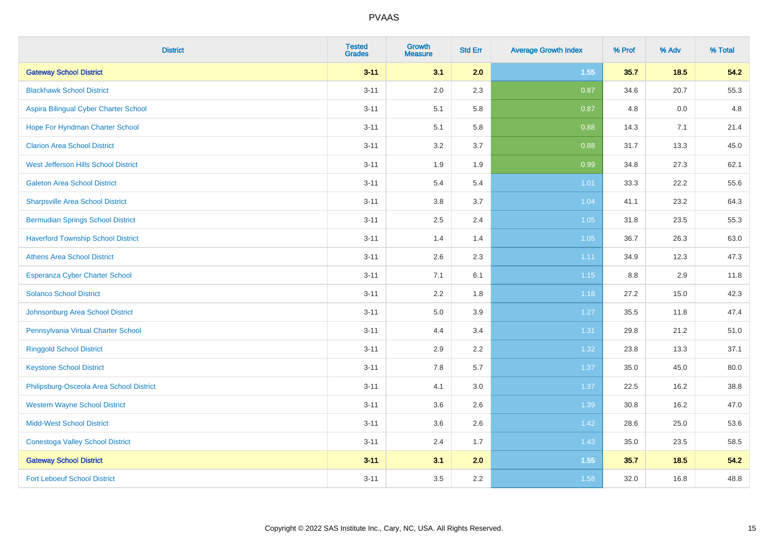| <b>District</b>                           | <b>Tested</b><br><b>Grades</b> | <b>Growth</b><br><b>Measure</b> | <b>Std Err</b> | <b>Average Growth Index</b> | % Prof | % Adv  | % Total |
|-------------------------------------------|--------------------------------|---------------------------------|----------------|-----------------------------|--------|--------|---------|
| <b>Gateway School District</b>            | $3 - 11$                       | 3.1                             | 2.0            | $1.55$                      | 35.7   | $18.5$ | 54.2    |
| <b>Blackhawk School District</b>          | $3 - 11$                       | 2.0                             | 2.3            | 0.87                        | 34.6   | 20.7   | 55.3    |
| Aspira Bilingual Cyber Charter School     | $3 - 11$                       | 5.1                             | 5.8            | 0.87                        | 4.8    | 0.0    | 4.8     |
| Hope For Hyndman Charter School           | $3 - 11$                       | 5.1                             | 5.8            | 0.88                        | 14.3   | 7.1    | 21.4    |
| <b>Clarion Area School District</b>       | $3 - 11$                       | 3.2                             | 3.7            | 0.88                        | 31.7   | 13.3   | 45.0    |
| West Jefferson Hills School District      | $3 - 11$                       | 1.9                             | 1.9            | 0.99                        | 34.8   | 27.3   | 62.1    |
| <b>Galeton Area School District</b>       | $3 - 11$                       | 5.4                             | 5.4            | 1.01                        | 33.3   | 22.2   | 55.6    |
| <b>Sharpsville Area School District</b>   | $3 - 11$                       | 3.8                             | 3.7            | 1.04                        | 41.1   | 23.2   | 64.3    |
| <b>Bermudian Springs School District</b>  | $3 - 11$                       | 2.5                             | 2.4            | 1.05                        | 31.8   | 23.5   | 55.3    |
| <b>Haverford Township School District</b> | $3 - 11$                       | 1.4                             | 1.4            | 1.05                        | 36.7   | 26.3   | 63.0    |
| <b>Athens Area School District</b>        | $3 - 11$                       | 2.6                             | 2.3            | 1.11                        | 34.9   | 12.3   | 47.3    |
| <b>Esperanza Cyber Charter School</b>     | $3 - 11$                       | 7.1                             | 6.1            | $1.15$                      | 8.8    | 2.9    | 11.8    |
| <b>Solanco School District</b>            | $3 - 11$                       | 2.2                             | 1.8            | 1.18                        | 27.2   | 15.0   | 42.3    |
| Johnsonburg Area School District          | $3 - 11$                       | 5.0                             | 3.9            | 1.27                        | 35.5   | 11.8   | 47.4    |
| Pennsylvania Virtual Charter School       | $3 - 11$                       | 4.4                             | 3.4            | 1.31                        | 29.8   | 21.2   | 51.0    |
| <b>Ringgold School District</b>           | $3 - 11$                       | 2.9                             | 2.2            | 1.32                        | 23.8   | 13.3   | 37.1    |
| <b>Keystone School District</b>           | $3 - 11$                       | 7.8                             | 5.7            | 1.37                        | 35.0   | 45.0   | 80.0    |
| Philipsburg-Osceola Area School District  | $3 - 11$                       | 4.1                             | 3.0            | 1.37                        | 22.5   | 16.2   | 38.8    |
| <b>Western Wayne School District</b>      | $3 - 11$                       | 3.6                             | 2.6            | 1.39                        | 30.8   | 16.2   | 47.0    |
| <b>Midd-West School District</b>          | $3 - 11$                       | 3.6                             | 2.6            | 1.42                        | 28.6   | 25.0   | 53.6    |
| <b>Conestoga Valley School District</b>   | $3 - 11$                       | 2.4                             | 1.7            | 1.43                        | 35.0   | 23.5   | 58.5    |
| <b>Gateway School District</b>            | $3 - 11$                       | 3.1                             | 2.0            | 1.55                        | 35.7   | 18.5   | 54.2    |
| <b>Fort Leboeuf School District</b>       | $3 - 11$                       | 3.5                             | 2.2            | 1.58                        | 32.0   | 16.8   | 48.8    |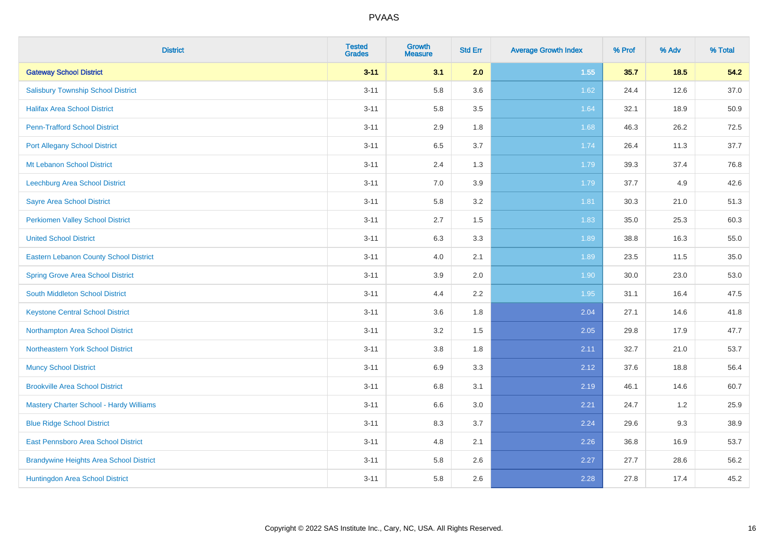| <b>District</b>                                | <b>Tested</b><br><b>Grades</b> | <b>Growth</b><br><b>Measure</b> | <b>Std Err</b> | <b>Average Growth Index</b> | % Prof | % Adv | % Total |
|------------------------------------------------|--------------------------------|---------------------------------|----------------|-----------------------------|--------|-------|---------|
| <b>Gateway School District</b>                 | $3 - 11$                       | 3.1                             | 2.0            | 1.55                        | 35.7   | 18.5  | 54.2    |
| <b>Salisbury Township School District</b>      | $3 - 11$                       | 5.8                             | 3.6            | 1.62                        | 24.4   | 12.6  | 37.0    |
| <b>Halifax Area School District</b>            | $3 - 11$                       | 5.8                             | 3.5            | 1.64                        | 32.1   | 18.9  | 50.9    |
| <b>Penn-Trafford School District</b>           | $3 - 11$                       | 2.9                             | 1.8            | 1.68                        | 46.3   | 26.2  | 72.5    |
| <b>Port Allegany School District</b>           | $3 - 11$                       | 6.5                             | 3.7            | 1.74                        | 26.4   | 11.3  | 37.7    |
| Mt Lebanon School District                     | $3 - 11$                       | 2.4                             | 1.3            | 1.79                        | 39.3   | 37.4  | 76.8    |
| Leechburg Area School District                 | $3 - 11$                       | 7.0                             | 3.9            | 1.79                        | 37.7   | 4.9   | 42.6    |
| <b>Sayre Area School District</b>              | $3 - 11$                       | 5.8                             | 3.2            | 1.81                        | 30.3   | 21.0  | 51.3    |
| Perkiomen Valley School District               | $3 - 11$                       | 2.7                             | 1.5            | 1.83                        | 35.0   | 25.3  | 60.3    |
| <b>United School District</b>                  | $3 - 11$                       | 6.3                             | 3.3            | 1.89                        | 38.8   | 16.3  | 55.0    |
| Eastern Lebanon County School District         | $3 - 11$                       | 4.0                             | 2.1            | 1.89                        | 23.5   | 11.5  | 35.0    |
| <b>Spring Grove Area School District</b>       | $3 - 11$                       | 3.9                             | 2.0            | 1.90                        | 30.0   | 23.0  | 53.0    |
| South Middleton School District                | $3 - 11$                       | 4.4                             | 2.2            | 1.95                        | 31.1   | 16.4  | 47.5    |
| <b>Keystone Central School District</b>        | $3 - 11$                       | 3.6                             | 1.8            | 2.04                        | 27.1   | 14.6  | 41.8    |
| Northampton Area School District               | $3 - 11$                       | 3.2                             | 1.5            | 2.05                        | 29.8   | 17.9  | 47.7    |
| Northeastern York School District              | $3 - 11$                       | $3.8\,$                         | 1.8            | 2.11                        | 32.7   | 21.0  | 53.7    |
| <b>Muncy School District</b>                   | $3 - 11$                       | 6.9                             | 3.3            | 2.12                        | 37.6   | 18.8  | 56.4    |
| <b>Brookville Area School District</b>         | $3 - 11$                       | 6.8                             | 3.1            | 2.19                        | 46.1   | 14.6  | 60.7    |
| <b>Mastery Charter School - Hardy Williams</b> | $3 - 11$                       | $6.6\,$                         | 3.0            | 2.21                        | 24.7   | 1.2   | 25.9    |
| <b>Blue Ridge School District</b>              | $3 - 11$                       | 8.3                             | 3.7            | 2.24                        | 29.6   | 9.3   | 38.9    |
| East Pennsboro Area School District            | $3 - 11$                       | 4.8                             | 2.1            | 2.26                        | 36.8   | 16.9  | 53.7    |
| <b>Brandywine Heights Area School District</b> | $3 - 11$                       | 5.8                             | 2.6            | 2.27                        | 27.7   | 28.6  | 56.2    |
| Huntingdon Area School District                | $3 - 11$                       | 5.8                             | 2.6            | 2.28                        | 27.8   | 17.4  | 45.2    |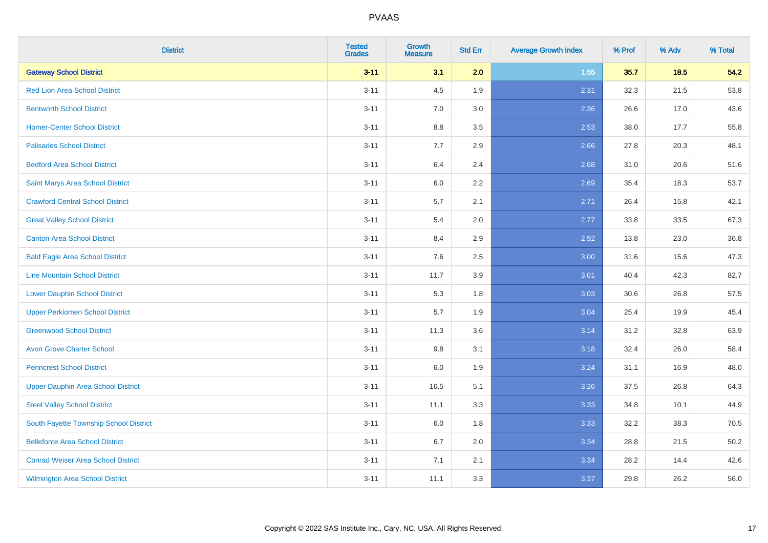| <b>District</b>                           | <b>Tested</b><br><b>Grades</b> | <b>Growth</b><br><b>Measure</b> | <b>Std Err</b> | <b>Average Growth Index</b> | % Prof | % Adv | % Total |
|-------------------------------------------|--------------------------------|---------------------------------|----------------|-----------------------------|--------|-------|---------|
| <b>Gateway School District</b>            | $3 - 11$                       | 3.1                             | 2.0            | 1.55                        | 35.7   | 18.5  | 54.2    |
| <b>Red Lion Area School District</b>      | $3 - 11$                       | 4.5                             | 1.9            | 2.31                        | 32.3   | 21.5  | 53.8    |
| <b>Bentworth School District</b>          | $3 - 11$                       | 7.0                             | 3.0            | 2.36                        | 26.6   | 17.0  | 43.6    |
| <b>Homer-Center School District</b>       | $3 - 11$                       | 8.8                             | 3.5            | 2.53                        | 38.0   | 17.7  | 55.8    |
| <b>Palisades School District</b>          | $3 - 11$                       | 7.7                             | 2.9            | 2.66                        | 27.8   | 20.3  | 48.1    |
| <b>Bedford Area School District</b>       | $3 - 11$                       | 6.4                             | 2.4            | 2.68                        | 31.0   | 20.6  | 51.6    |
| Saint Marys Area School District          | $3 - 11$                       | 6.0                             | 2.2            | 2.69                        | 35.4   | 18.3  | 53.7    |
| <b>Crawford Central School District</b>   | $3 - 11$                       | 5.7                             | 2.1            | 2.71                        | 26.4   | 15.8  | 42.1    |
| <b>Great Valley School District</b>       | $3 - 11$                       | 5.4                             | 2.0            | 2.77                        | 33.8   | 33.5  | 67.3    |
| <b>Canton Area School District</b>        | $3 - 11$                       | 8.4                             | 2.9            | 2.92                        | 13.8   | 23.0  | 36.8    |
| <b>Bald Eagle Area School District</b>    | $3 - 11$                       | 7.6                             | 2.5            | 3.00                        | 31.6   | 15.6  | 47.3    |
| <b>Line Mountain School District</b>      | $3 - 11$                       | 11.7                            | 3.9            | 3.01                        | 40.4   | 42.3  | 82.7    |
| <b>Lower Dauphin School District</b>      | $3 - 11$                       | 5.3                             | 1.8            | 3.03                        | 30.6   | 26.8  | 57.5    |
| <b>Upper Perkiomen School District</b>    | $3 - 11$                       | 5.7                             | 1.9            | 3.04                        | 25.4   | 19.9  | 45.4    |
| <b>Greenwood School District</b>          | $3 - 11$                       | 11.3                            | 3.6            | 3.14                        | 31.2   | 32.8  | 63.9    |
| <b>Avon Grove Charter School</b>          | $3 - 11$                       | 9.8                             | 3.1            | 3.18                        | 32.4   | 26.0  | 58.4    |
| <b>Penncrest School District</b>          | $3 - 11$                       | 6.0                             | 1.9            | 3.24                        | 31.1   | 16.9  | 48.0    |
| <b>Upper Dauphin Area School District</b> | $3 - 11$                       | 16.5                            | 5.1            | 3.26                        | 37.5   | 26.8  | 64.3    |
| <b>Steel Valley School District</b>       | $3 - 11$                       | 11.1                            | 3.3            | 3.33                        | 34.8   | 10.1  | 44.9    |
| South Fayette Township School District    | $3 - 11$                       | 6.0                             | 1.8            | 3.33                        | 32.2   | 38.3  | 70.5    |
| <b>Bellefonte Area School District</b>    | $3 - 11$                       | 6.7                             | 2.0            | 3.34                        | 28.8   | 21.5  | 50.2    |
| <b>Conrad Weiser Area School District</b> | $3 - 11$                       | 7.1                             | 2.1            | 3.34                        | 28.2   | 14.4  | 42.6    |
| <b>Wilmington Area School District</b>    | $3 - 11$                       | 11.1                            | 3.3            | 3.37                        | 29.8   | 26.2  | 56.0    |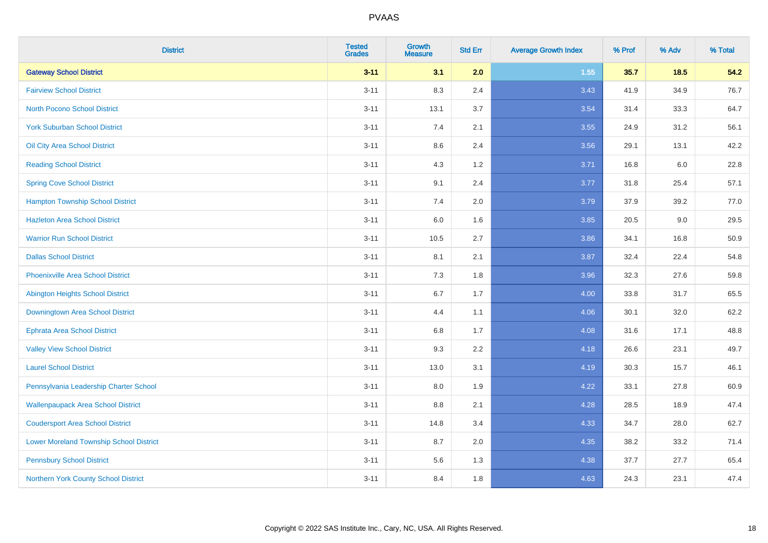| <b>District</b>                                | <b>Tested</b><br><b>Grades</b> | Growth<br><b>Measure</b> | <b>Std Err</b> | <b>Average Growth Index</b> | % Prof | % Adv | % Total |
|------------------------------------------------|--------------------------------|--------------------------|----------------|-----------------------------|--------|-------|---------|
| <b>Gateway School District</b>                 | $3 - 11$                       | 3.1                      | 2.0            | 1.55                        | 35.7   | 18.5  | 54.2    |
| <b>Fairview School District</b>                | $3 - 11$                       | 8.3                      | 2.4            | 3.43                        | 41.9   | 34.9  | 76.7    |
| <b>North Pocono School District</b>            | $3 - 11$                       | 13.1                     | 3.7            | 3.54                        | 31.4   | 33.3  | 64.7    |
| <b>York Suburban School District</b>           | $3 - 11$                       | $7.4$                    | 2.1            | 3.55                        | 24.9   | 31.2  | 56.1    |
| Oil City Area School District                  | $3 - 11$                       | 8.6                      | 2.4            | 3.56                        | 29.1   | 13.1  | 42.2    |
| <b>Reading School District</b>                 | $3 - 11$                       | 4.3                      | 1.2            | 3.71                        | 16.8   | 6.0   | 22.8    |
| <b>Spring Cove School District</b>             | $3 - 11$                       | 9.1                      | 2.4            | 3.77                        | 31.8   | 25.4  | 57.1    |
| <b>Hampton Township School District</b>        | $3 - 11$                       | 7.4                      | 2.0            | 3.79                        | 37.9   | 39.2  | 77.0    |
| <b>Hazleton Area School District</b>           | $3 - 11$                       | 6.0                      | 1.6            | 3.85                        | 20.5   | 9.0   | 29.5    |
| <b>Warrior Run School District</b>             | $3 - 11$                       | 10.5                     | 2.7            | 3.86                        | 34.1   | 16.8  | 50.9    |
| <b>Dallas School District</b>                  | $3 - 11$                       | 8.1                      | 2.1            | 3.87                        | 32.4   | 22.4  | 54.8    |
| <b>Phoenixville Area School District</b>       | $3 - 11$                       | 7.3                      | 1.8            | 3.96                        | 32.3   | 27.6  | 59.8    |
| <b>Abington Heights School District</b>        | $3 - 11$                       | 6.7                      | 1.7            | 4.00                        | 33.8   | 31.7  | 65.5    |
| Downingtown Area School District               | $3 - 11$                       | 4.4                      | 1.1            | 4.06                        | 30.1   | 32.0  | 62.2    |
| <b>Ephrata Area School District</b>            | $3 - 11$                       | 6.8                      | 1.7            | 4.08                        | 31.6   | 17.1  | 48.8    |
| <b>Valley View School District</b>             | $3 - 11$                       | 9.3                      | 2.2            | 4.18                        | 26.6   | 23.1  | 49.7    |
| <b>Laurel School District</b>                  | $3 - 11$                       | 13.0                     | 3.1            | 4.19                        | 30.3   | 15.7  | 46.1    |
| Pennsylvania Leadership Charter School         | $3 - 11$                       | 8.0                      | 1.9            | 4.22                        | 33.1   | 27.8  | 60.9    |
| <b>Wallenpaupack Area School District</b>      | $3 - 11$                       | 8.8                      | 2.1            | 4.28                        | 28.5   | 18.9  | 47.4    |
| <b>Coudersport Area School District</b>        | $3 - 11$                       | 14.8                     | 3.4            | 4.33                        | 34.7   | 28.0  | 62.7    |
| <b>Lower Moreland Township School District</b> | $3 - 11$                       | 8.7                      | 2.0            | 4.35                        | 38.2   | 33.2  | 71.4    |
| <b>Pennsbury School District</b>               | $3 - 11$                       | 5.6                      | 1.3            | 4.38                        | 37.7   | 27.7  | 65.4    |
| Northern York County School District           | $3 - 11$                       | 8.4                      | 1.8            | 4.63                        | 24.3   | 23.1  | 47.4    |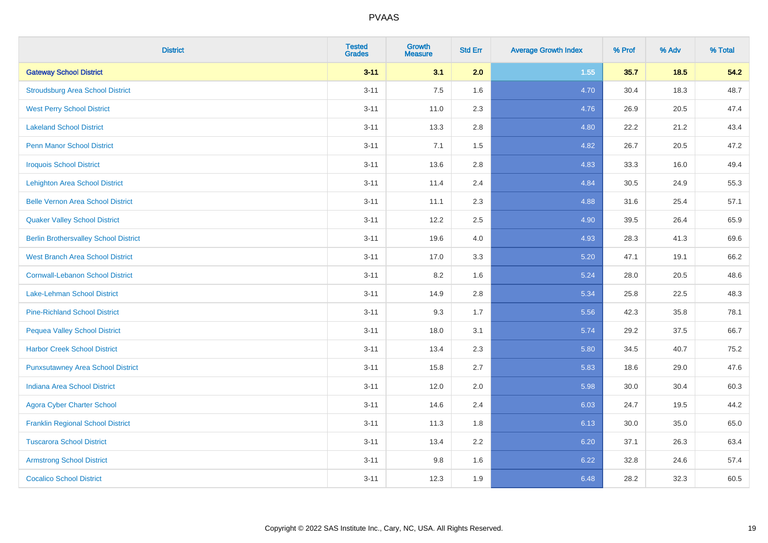| <b>District</b>                              | <b>Tested</b><br><b>Grades</b> | <b>Growth</b><br><b>Measure</b> | <b>Std Err</b> | <b>Average Growth Index</b> | % Prof | % Adv  | % Total |
|----------------------------------------------|--------------------------------|---------------------------------|----------------|-----------------------------|--------|--------|---------|
| <b>Gateway School District</b>               | $3 - 11$                       | 3.1                             | 2.0            | 1.55                        | 35.7   | $18.5$ | 54.2    |
| <b>Stroudsburg Area School District</b>      | $3 - 11$                       | 7.5                             | 1.6            | 4.70                        | 30.4   | 18.3   | 48.7    |
| <b>West Perry School District</b>            | $3 - 11$                       | 11.0                            | 2.3            | 4.76                        | 26.9   | 20.5   | 47.4    |
| <b>Lakeland School District</b>              | $3 - 11$                       | 13.3                            | 2.8            | 4.80                        | 22.2   | 21.2   | 43.4    |
| <b>Penn Manor School District</b>            | $3 - 11$                       | 7.1                             | 1.5            | 4.82                        | 26.7   | 20.5   | 47.2    |
| <b>Iroquois School District</b>              | $3 - 11$                       | 13.6                            | 2.8            | 4.83                        | 33.3   | 16.0   | 49.4    |
| <b>Lehighton Area School District</b>        | $3 - 11$                       | 11.4                            | 2.4            | 4.84                        | 30.5   | 24.9   | 55.3    |
| <b>Belle Vernon Area School District</b>     | $3 - 11$                       | 11.1                            | 2.3            | 4.88                        | 31.6   | 25.4   | 57.1    |
| <b>Quaker Valley School District</b>         | $3 - 11$                       | 12.2                            | 2.5            | 4.90                        | 39.5   | 26.4   | 65.9    |
| <b>Berlin Brothersvalley School District</b> | $3 - 11$                       | 19.6                            | 4.0            | 4.93                        | 28.3   | 41.3   | 69.6    |
| <b>West Branch Area School District</b>      | $3 - 11$                       | 17.0                            | 3.3            | 5.20                        | 47.1   | 19.1   | 66.2    |
| <b>Cornwall-Lebanon School District</b>      | $3 - 11$                       | 8.2                             | 1.6            | 5.24                        | 28.0   | 20.5   | 48.6    |
| Lake-Lehman School District                  | $3 - 11$                       | 14.9                            | 2.8            | 5.34                        | 25.8   | 22.5   | 48.3    |
| <b>Pine-Richland School District</b>         | $3 - 11$                       | 9.3                             | 1.7            | 5.56                        | 42.3   | 35.8   | 78.1    |
| <b>Pequea Valley School District</b>         | $3 - 11$                       | 18.0                            | 3.1            | 5.74                        | 29.2   | 37.5   | 66.7    |
| <b>Harbor Creek School District</b>          | $3 - 11$                       | 13.4                            | 2.3            | 5.80                        | 34.5   | 40.7   | 75.2    |
| <b>Punxsutawney Area School District</b>     | $3 - 11$                       | 15.8                            | 2.7            | 5.83                        | 18.6   | 29.0   | 47.6    |
| Indiana Area School District                 | $3 - 11$                       | 12.0                            | 2.0            | 5.98                        | 30.0   | 30.4   | 60.3    |
| <b>Agora Cyber Charter School</b>            | $3 - 11$                       | 14.6                            | 2.4            | 6.03                        | 24.7   | 19.5   | 44.2    |
| <b>Franklin Regional School District</b>     | $3 - 11$                       | 11.3                            | 1.8            | 6.13                        | 30.0   | 35.0   | 65.0    |
| <b>Tuscarora School District</b>             | $3 - 11$                       | 13.4                            | 2.2            | 6.20                        | 37.1   | 26.3   | 63.4    |
| <b>Armstrong School District</b>             | $3 - 11$                       | 9.8                             | 1.6            | 6.22                        | 32.8   | 24.6   | 57.4    |
| <b>Cocalico School District</b>              | $3 - 11$                       | 12.3                            | 1.9            | 6.48                        | 28.2   | 32.3   | 60.5    |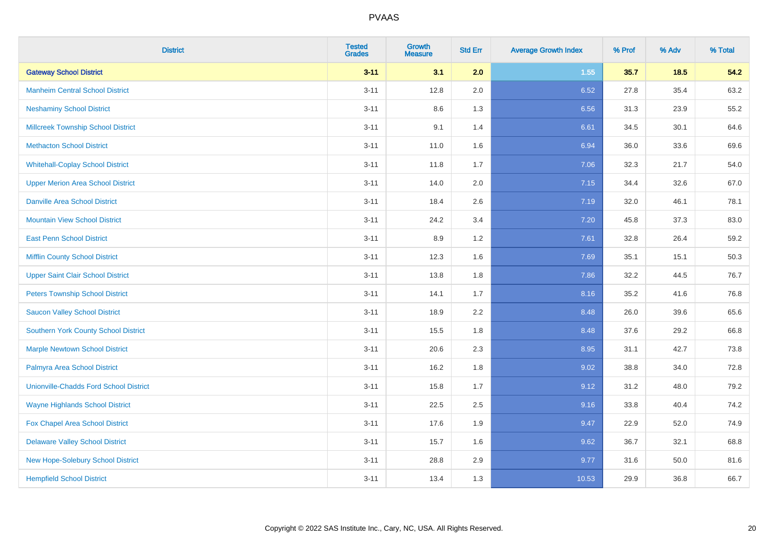| <b>District</b>                               | <b>Tested</b><br><b>Grades</b> | <b>Growth</b><br><b>Measure</b> | <b>Std Err</b> | <b>Average Growth Index</b> | % Prof | % Adv | % Total |
|-----------------------------------------------|--------------------------------|---------------------------------|----------------|-----------------------------|--------|-------|---------|
| <b>Gateway School District</b>                | $3 - 11$                       | 3.1                             | 2.0            | 1.55                        | 35.7   | 18.5  | 54.2    |
| <b>Manheim Central School District</b>        | $3 - 11$                       | 12.8                            | 2.0            | 6.52                        | 27.8   | 35.4  | 63.2    |
| <b>Neshaminy School District</b>              | $3 - 11$                       | 8.6                             | 1.3            | 6.56                        | 31.3   | 23.9  | 55.2    |
| <b>Millcreek Township School District</b>     | $3 - 11$                       | 9.1                             | 1.4            | 6.61                        | 34.5   | 30.1  | 64.6    |
| <b>Methacton School District</b>              | $3 - 11$                       | 11.0                            | 1.6            | 6.94                        | 36.0   | 33.6  | 69.6    |
| <b>Whitehall-Coplay School District</b>       | $3 - 11$                       | 11.8                            | 1.7            | 7.06                        | 32.3   | 21.7  | 54.0    |
| <b>Upper Merion Area School District</b>      | $3 - 11$                       | 14.0                            | 2.0            | 7.15                        | 34.4   | 32.6  | 67.0    |
| <b>Danville Area School District</b>          | $3 - 11$                       | 18.4                            | 2.6            | 7.19                        | 32.0   | 46.1  | 78.1    |
| <b>Mountain View School District</b>          | $3 - 11$                       | 24.2                            | 3.4            | 7.20                        | 45.8   | 37.3  | 83.0    |
| <b>East Penn School District</b>              | $3 - 11$                       | 8.9                             | 1.2            | 7.61                        | 32.8   | 26.4  | 59.2    |
| <b>Mifflin County School District</b>         | $3 - 11$                       | 12.3                            | 1.6            | 7.69                        | 35.1   | 15.1  | 50.3    |
| <b>Upper Saint Clair School District</b>      | $3 - 11$                       | 13.8                            | 1.8            | 7.86                        | 32.2   | 44.5  | 76.7    |
| <b>Peters Township School District</b>        | $3 - 11$                       | 14.1                            | 1.7            | 8.16                        | 35.2   | 41.6  | 76.8    |
| <b>Saucon Valley School District</b>          | $3 - 11$                       | 18.9                            | 2.2            | 8.48                        | 26.0   | 39.6  | 65.6    |
| <b>Southern York County School District</b>   | $3 - 11$                       | 15.5                            | 1.8            | 8.48                        | 37.6   | 29.2  | 66.8    |
| <b>Marple Newtown School District</b>         | $3 - 11$                       | 20.6                            | 2.3            | 8.95                        | 31.1   | 42.7  | 73.8    |
| Palmyra Area School District                  | $3 - 11$                       | 16.2                            | 1.8            | 9.02                        | 38.8   | 34.0  | 72.8    |
| <b>Unionville-Chadds Ford School District</b> | $3 - 11$                       | 15.8                            | 1.7            | 9.12                        | 31.2   | 48.0  | 79.2    |
| <b>Wayne Highlands School District</b>        | $3 - 11$                       | 22.5                            | 2.5            | 9.16                        | 33.8   | 40.4  | 74.2    |
| Fox Chapel Area School District               | $3 - 11$                       | 17.6                            | 1.9            | 9.47                        | 22.9   | 52.0  | 74.9    |
| <b>Delaware Valley School District</b>        | $3 - 11$                       | 15.7                            | 1.6            | 9.62                        | 36.7   | 32.1  | 68.8    |
| New Hope-Solebury School District             | $3 - 11$                       | 28.8                            | 2.9            | 9.77                        | 31.6   | 50.0  | 81.6    |
| <b>Hempfield School District</b>              | $3 - 11$                       | 13.4                            | 1.3            | 10.53                       | 29.9   | 36.8  | 66.7    |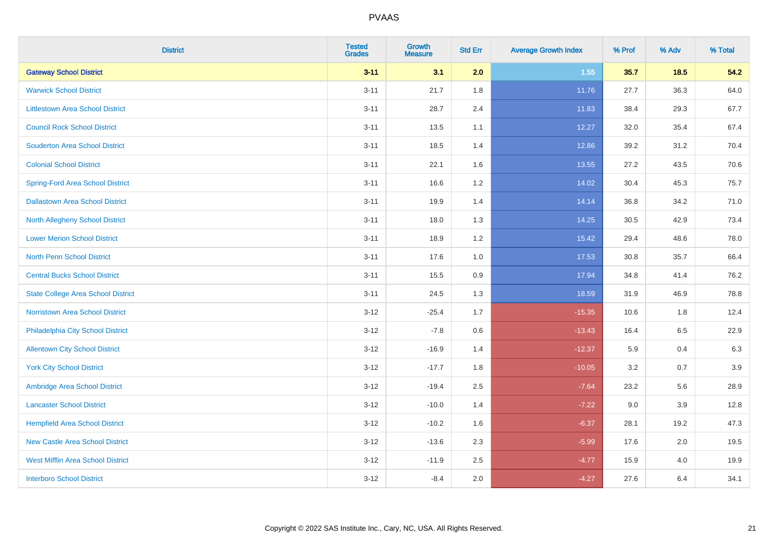| <b>District</b>                           | <b>Tested</b><br><b>Grades</b> | <b>Growth</b><br><b>Measure</b> | <b>Std Err</b> | <b>Average Growth Index</b> | % Prof | % Adv   | % Total |
|-------------------------------------------|--------------------------------|---------------------------------|----------------|-----------------------------|--------|---------|---------|
| <b>Gateway School District</b>            | $3 - 11$                       | 3.1                             | 2.0            | 1.55                        | 35.7   | 18.5    | 54.2    |
| <b>Warwick School District</b>            | $3 - 11$                       | 21.7                            | 1.8            | 11.76                       | 27.7   | 36.3    | 64.0    |
| <b>Littlestown Area School District</b>   | $3 - 11$                       | 28.7                            | 2.4            | 11.83                       | 38.4   | 29.3    | 67.7    |
| <b>Council Rock School District</b>       | $3 - 11$                       | 13.5                            | 1.1            | 12.27                       | 32.0   | 35.4    | 67.4    |
| <b>Souderton Area School District</b>     | $3 - 11$                       | 18.5                            | 1.4            | 12.86                       | 39.2   | 31.2    | 70.4    |
| <b>Colonial School District</b>           | $3 - 11$                       | 22.1                            | 1.6            | 13.55                       | 27.2   | 43.5    | 70.6    |
| <b>Spring-Ford Area School District</b>   | $3 - 11$                       | 16.6                            | 1.2            | 14.02                       | 30.4   | 45.3    | 75.7    |
| <b>Dallastown Area School District</b>    | $3 - 11$                       | 19.9                            | 1.4            | 14.14                       | 36.8   | 34.2    | 71.0    |
| <b>North Allegheny School District</b>    | $3 - 11$                       | 18.0                            | 1.3            | 14.25                       | 30.5   | 42.9    | 73.4    |
| <b>Lower Merion School District</b>       | $3 - 11$                       | 18.9                            | 1.2            | 15.42                       | 29.4   | 48.6    | 78.0    |
| North Penn School District                | $3 - 11$                       | 17.6                            | 1.0            | 17.53                       | 30.8   | 35.7    | 66.4    |
| <b>Central Bucks School District</b>      | $3 - 11$                       | 15.5                            | 0.9            | 17.94                       | 34.8   | 41.4    | 76.2    |
| <b>State College Area School District</b> | $3 - 11$                       | 24.5                            | 1.3            | 18.59                       | 31.9   | 46.9    | 78.8    |
| Norristown Area School District           | $3 - 12$                       | $-25.4$                         | 1.7            | $-15.35$                    | 10.6   | 1.8     | 12.4    |
| Philadelphia City School District         | $3 - 12$                       | $-7.8$                          | 0.6            | $-13.43$                    | 16.4   | 6.5     | 22.9    |
| <b>Allentown City School District</b>     | $3 - 12$                       | $-16.9$                         | 1.4            | $-12.37$                    | 5.9    | 0.4     | 6.3     |
| <b>York City School District</b>          | $3 - 12$                       | $-17.7$                         | 1.8            | $-10.05$                    | 3.2    | 0.7     | 3.9     |
| Ambridge Area School District             | $3 - 12$                       | $-19.4$                         | 2.5            | $-7.64$                     | 23.2   | 5.6     | 28.9    |
| <b>Lancaster School District</b>          | $3 - 12$                       | $-10.0$                         | 1.4            | $-7.22$                     | 9.0    | 3.9     | 12.8    |
| <b>Hempfield Area School District</b>     | $3 - 12$                       | $-10.2$                         | 1.6            | $-6.37$                     | 28.1   | 19.2    | 47.3    |
| <b>New Castle Area School District</b>    | $3 - 12$                       | $-13.6$                         | 2.3            | $-5.99$                     | 17.6   | $2.0\,$ | 19.5    |
| <b>West Mifflin Area School District</b>  | $3 - 12$                       | $-11.9$                         | 2.5            | $-4.77$                     | 15.9   | 4.0     | 19.9    |
| <b>Interboro School District</b>          | $3 - 12$                       | $-8.4$                          | 2.0            | $-4.27$                     | 27.6   | 6.4     | 34.1    |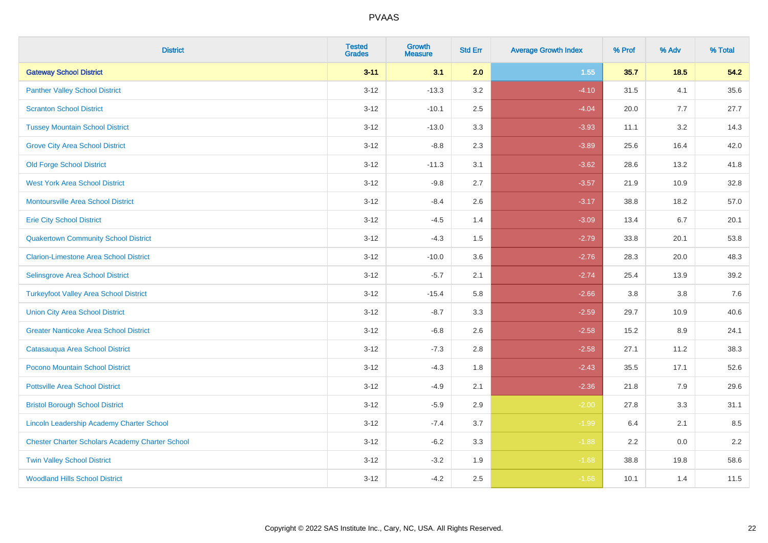| <b>District</b>                                        | <b>Tested</b><br><b>Grades</b> | <b>Growth</b><br><b>Measure</b> | <b>Std Err</b> | <b>Average Growth Index</b> | % Prof | % Adv   | % Total |
|--------------------------------------------------------|--------------------------------|---------------------------------|----------------|-----------------------------|--------|---------|---------|
| <b>Gateway School District</b>                         | $3 - 11$                       | 3.1                             | 2.0            | 1.55                        | 35.7   | $18.5$  | 54.2    |
| <b>Panther Valley School District</b>                  | $3 - 12$                       | $-13.3$                         | 3.2            | $-4.10$                     | 31.5   | 4.1     | 35.6    |
| <b>Scranton School District</b>                        | $3 - 12$                       | $-10.1$                         | 2.5            | $-4.04$                     | 20.0   | 7.7     | 27.7    |
| <b>Tussey Mountain School District</b>                 | $3 - 12$                       | $-13.0$                         | 3.3            | $-3.93$                     | 11.1   | 3.2     | 14.3    |
| <b>Grove City Area School District</b>                 | $3 - 12$                       | $-8.8$                          | 2.3            | $-3.89$                     | 25.6   | 16.4    | 42.0    |
| <b>Old Forge School District</b>                       | $3 - 12$                       | $-11.3$                         | 3.1            | $-3.62$                     | 28.6   | 13.2    | 41.8    |
| <b>West York Area School District</b>                  | $3 - 12$                       | $-9.8$                          | 2.7            | $-3.57$                     | 21.9   | 10.9    | 32.8    |
| <b>Montoursville Area School District</b>              | $3 - 12$                       | $-8.4$                          | 2.6            | $-3.17$                     | 38.8   | 18.2    | 57.0    |
| <b>Erie City School District</b>                       | $3 - 12$                       | $-4.5$                          | 1.4            | $-3.09$                     | 13.4   | 6.7     | 20.1    |
| <b>Quakertown Community School District</b>            | $3 - 12$                       | $-4.3$                          | 1.5            | $-2.79$                     | 33.8   | 20.1    | 53.8    |
| <b>Clarion-Limestone Area School District</b>          | $3 - 12$                       | $-10.0$                         | 3.6            | $-2.76$                     | 28.3   | 20.0    | 48.3    |
| Selinsgrove Area School District                       | $3 - 12$                       | $-5.7$                          | 2.1            | $-2.74$                     | 25.4   | 13.9    | 39.2    |
| <b>Turkeyfoot Valley Area School District</b>          | $3 - 12$                       | $-15.4$                         | 5.8            | $-2.66$                     | 3.8    | $3.8\,$ | 7.6     |
| <b>Union City Area School District</b>                 | $3 - 12$                       | $-8.7$                          | 3.3            | $-2.59$                     | 29.7   | 10.9    | 40.6    |
| <b>Greater Nanticoke Area School District</b>          | $3 - 12$                       | $-6.8$                          | 2.6            | $-2.58$                     | 15.2   | 8.9     | 24.1    |
| Catasauqua Area School District                        | $3 - 12$                       | $-7.3$                          | 2.8            | $-2.58$                     | 27.1   | 11.2    | 38.3    |
| Pocono Mountain School District                        | $3 - 12$                       | $-4.3$                          | 1.8            | $-2.43$                     | 35.5   | 17.1    | 52.6    |
| <b>Pottsville Area School District</b>                 | $3 - 12$                       | $-4.9$                          | 2.1            | $-2.36$                     | 21.8   | 7.9     | 29.6    |
| <b>Bristol Borough School District</b>                 | $3 - 12$                       | $-5.9$                          | 2.9            | $-2.00$                     | 27.8   | 3.3     | 31.1    |
| Lincoln Leadership Academy Charter School              | $3 - 12$                       | $-7.4$                          | 3.7            | $-1.99$                     | 6.4    | 2.1     | 8.5     |
| <b>Chester Charter Scholars Academy Charter School</b> | $3 - 12$                       | $-6.2$                          | 3.3            | $-1.88$                     | 2.2    | 0.0     | 2.2     |
| <b>Twin Valley School District</b>                     | $3 - 12$                       | $-3.2$                          | 1.9            | $-1.68$                     | 38.8   | 19.8    | 58.6    |
| <b>Woodland Hills School District</b>                  | $3 - 12$                       | $-4.2$                          | 2.5            | $-1.66$                     | 10.1   | 1.4     | 11.5    |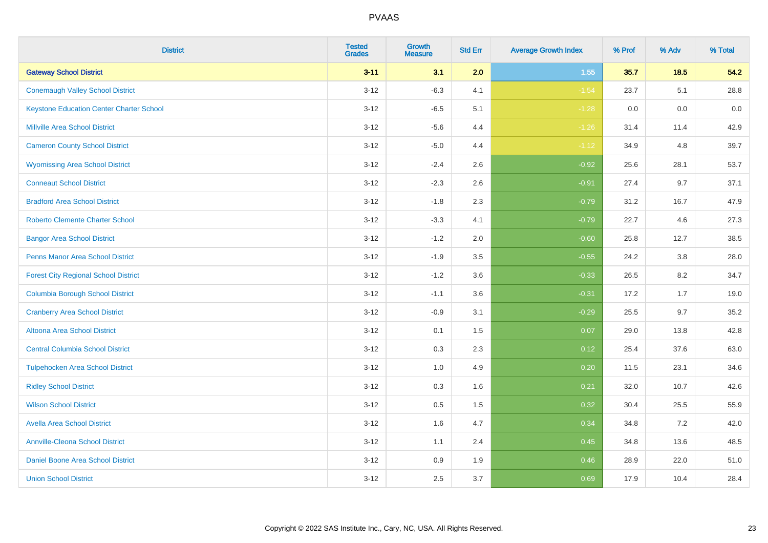| <b>District</b>                                 | <b>Tested</b><br><b>Grades</b> | <b>Growth</b><br><b>Measure</b> | <b>Std Err</b> | <b>Average Growth Index</b> | % Prof | % Adv  | % Total |
|-------------------------------------------------|--------------------------------|---------------------------------|----------------|-----------------------------|--------|--------|---------|
| <b>Gateway School District</b>                  | $3 - 11$                       | 3.1                             | 2.0            | 1.55                        | 35.7   | $18.5$ | 54.2    |
| <b>Conemaugh Valley School District</b>         | $3 - 12$                       | $-6.3$                          | 4.1            | $-1.54$                     | 23.7   | 5.1    | 28.8    |
| <b>Keystone Education Center Charter School</b> | $3 - 12$                       | $-6.5$                          | 5.1            | $-1.28$                     | 0.0    | 0.0    | 0.0     |
| <b>Millville Area School District</b>           | $3 - 12$                       | $-5.6$                          | 4.4            | $-1.26$                     | 31.4   | 11.4   | 42.9    |
| <b>Cameron County School District</b>           | $3-12$                         | $-5.0$                          | 4.4            | $-1.12$                     | 34.9   | 4.8    | 39.7    |
| <b>Wyomissing Area School District</b>          | $3 - 12$                       | $-2.4$                          | 2.6            | $-0.92$                     | 25.6   | 28.1   | 53.7    |
| <b>Conneaut School District</b>                 | $3 - 12$                       | $-2.3$                          | 2.6            | $-0.91$                     | 27.4   | 9.7    | 37.1    |
| <b>Bradford Area School District</b>            | $3 - 12$                       | $-1.8$                          | 2.3            | $-0.79$                     | 31.2   | 16.7   | 47.9    |
| <b>Roberto Clemente Charter School</b>          | $3 - 12$                       | $-3.3$                          | 4.1            | $-0.79$                     | 22.7   | 4.6    | 27.3    |
| <b>Bangor Area School District</b>              | $3 - 12$                       | $-1.2$                          | 2.0            | $-0.60$                     | 25.8   | 12.7   | 38.5    |
| <b>Penns Manor Area School District</b>         | $3 - 12$                       | $-1.9$                          | 3.5            | $-0.55$                     | 24.2   | 3.8    | 28.0    |
| <b>Forest City Regional School District</b>     | $3 - 12$                       | $-1.2$                          | 3.6            | $-0.33$                     | 26.5   | 8.2    | 34.7    |
| <b>Columbia Borough School District</b>         | $3 - 12$                       | $-1.1$                          | 3.6            | $-0.31$                     | 17.2   | 1.7    | 19.0    |
| <b>Cranberry Area School District</b>           | $3 - 12$                       | $-0.9$                          | 3.1            | $-0.29$                     | 25.5   | 9.7    | 35.2    |
| Altoona Area School District                    | $3 - 12$                       | 0.1                             | 1.5            | 0.07                        | 29.0   | 13.8   | 42.8    |
| <b>Central Columbia School District</b>         | $3 - 12$                       | 0.3                             | 2.3            | 0.12                        | 25.4   | 37.6   | 63.0    |
| <b>Tulpehocken Area School District</b>         | $3 - 12$                       | 1.0                             | 4.9            | 0.20                        | 11.5   | 23.1   | 34.6    |
| <b>Ridley School District</b>                   | $3 - 12$                       | 0.3                             | 1.6            | 0.21                        | 32.0   | 10.7   | 42.6    |
| <b>Wilson School District</b>                   | $3 - 12$                       | $0.5\,$                         | 1.5            | 0.32                        | 30.4   | 25.5   | 55.9    |
| <b>Avella Area School District</b>              | $3-12$                         | 1.6                             | 4.7            | 0.34                        | 34.8   | 7.2    | 42.0    |
| <b>Annville-Cleona School District</b>          | $3 - 12$                       | 1.1                             | 2.4            | 0.45                        | 34.8   | 13.6   | 48.5    |
| Daniel Boone Area School District               | $3 - 12$                       | $0.9\,$                         | 1.9            | 0.46                        | 28.9   | 22.0   | 51.0    |
| <b>Union School District</b>                    | $3-12$                         | 2.5                             | 3.7            | 0.69                        | 17.9   | 10.4   | 28.4    |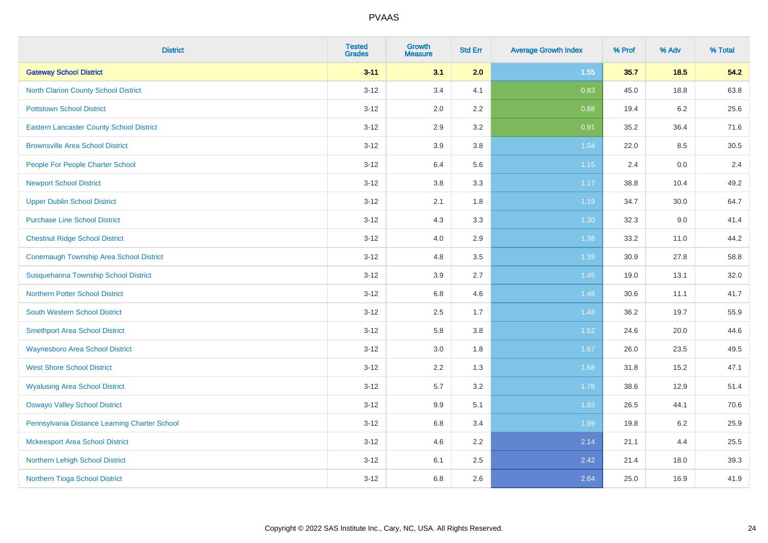| <b>District</b>                                 | <b>Tested</b><br><b>Grades</b> | <b>Growth</b><br><b>Measure</b> | <b>Std Err</b> | <b>Average Growth Index</b> | % Prof | % Adv   | % Total |
|-------------------------------------------------|--------------------------------|---------------------------------|----------------|-----------------------------|--------|---------|---------|
| <b>Gateway School District</b>                  | $3 - 11$                       | 3.1                             | 2.0            | 1.55                        | 35.7   | 18.5    | 54.2    |
| <b>North Clarion County School District</b>     | $3 - 12$                       | 3.4                             | 4.1            | 0.83                        | 45.0   | 18.8    | 63.8    |
| <b>Pottstown School District</b>                | $3 - 12$                       | 2.0                             | 2.2            | 0.88                        | 19.4   | $6.2\,$ | 25.6    |
| <b>Eastern Lancaster County School District</b> | $3 - 12$                       | 2.9                             | 3.2            | 0.91                        | 35.2   | 36.4    | 71.6    |
| <b>Brownsville Area School District</b>         | $3 - 12$                       | 3.9                             | 3.8            | 1.04                        | 22.0   | 8.5     | 30.5    |
| People For People Charter School                | $3 - 12$                       | 6.4                             | 5.6            | 1.15                        | 2.4    | 0.0     | 2.4     |
| <b>Newport School District</b>                  | $3 - 12$                       | $3.8\,$                         | 3.3            | 1.17                        | 38.8   | 10.4    | 49.2    |
| <b>Upper Dublin School District</b>             | $3 - 12$                       | 2.1                             | 1.8            | 1.19                        | 34.7   | 30.0    | 64.7    |
| <b>Purchase Line School District</b>            | $3 - 12$                       | 4.3                             | 3.3            | 1.30                        | 32.3   | 9.0     | 41.4    |
| <b>Chestnut Ridge School District</b>           | $3 - 12$                       | 4.0                             | 2.9            | 1.38                        | 33.2   | 11.0    | 44.2    |
| <b>Conemaugh Township Area School District</b>  | $3 - 12$                       | 4.8                             | 3.5            | 1.39                        | 30.9   | 27.8    | 58.8    |
| Susquehanna Township School District            | $3 - 12$                       | 3.9                             | 2.7            | 1.45                        | 19.0   | 13.1    | 32.0    |
| <b>Northern Potter School District</b>          | $3 - 12$                       | 6.8                             | 4.6            | 1.48                        | 30.6   | 11.1    | 41.7    |
| <b>South Western School District</b>            | $3 - 12$                       | 2.5                             | 1.7            | 1.48                        | 36.2   | 19.7    | 55.9    |
| <b>Smethport Area School District</b>           | $3 - 12$                       | 5.8                             | 3.8            | 1.52                        | 24.6   | 20.0    | 44.6    |
| <b>Waynesboro Area School District</b>          | $3 - 12$                       | 3.0                             | 1.8            | 1.67                        | 26.0   | 23.5    | 49.5    |
| <b>West Shore School District</b>               | $3 - 12$                       | 2.2                             | 1.3            | 1.68                        | 31.8   | 15.2    | 47.1    |
| <b>Wyalusing Area School District</b>           | $3 - 12$                       | 5.7                             | 3.2            | 1.78                        | 38.6   | 12.9    | 51.4    |
| <b>Oswayo Valley School District</b>            | $3 - 12$                       | 9.9                             | 5.1            | 1.93                        | 26.5   | 44.1    | 70.6    |
| Pennsylvania Distance Learning Charter School   | $3 - 12$                       | 6.8                             | 3.4            | 1.99                        | 19.8   | $6.2\,$ | 25.9    |
| <b>Mckeesport Area School District</b>          | $3-12$                         | 4.6                             | 2.2            | 2.14                        | 21.1   | 4.4     | 25.5    |
| Northern Lehigh School District                 | $3 - 12$                       | 6.1                             | 2.5            | 2.42                        | 21.4   | 18.0    | 39.3    |
| Northern Tioga School District                  | $3 - 12$                       | 6.8                             | 2.6            | 2.64                        | 25.0   | 16.9    | 41.9    |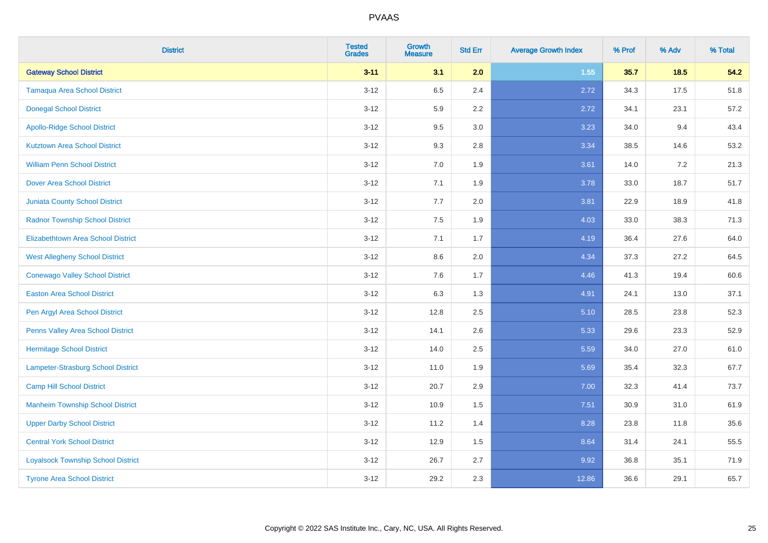| <b>District</b>                           | <b>Tested</b><br><b>Grades</b> | <b>Growth</b><br><b>Measure</b> | <b>Std Err</b> | <b>Average Growth Index</b> | % Prof | % Adv | % Total |
|-------------------------------------------|--------------------------------|---------------------------------|----------------|-----------------------------|--------|-------|---------|
| <b>Gateway School District</b>            | $3 - 11$                       | 3.1                             | 2.0            | 1.55                        | 35.7   | 18.5  | 54.2    |
| <b>Tamaqua Area School District</b>       | $3 - 12$                       | 6.5                             | 2.4            | 2.72                        | 34.3   | 17.5  | 51.8    |
| <b>Donegal School District</b>            | $3 - 12$                       | 5.9                             | 2.2            | 2.72                        | 34.1   | 23.1  | 57.2    |
| <b>Apollo-Ridge School District</b>       | $3 - 12$                       | 9.5                             | 3.0            | 3.23                        | 34.0   | 9.4   | 43.4    |
| <b>Kutztown Area School District</b>      | $3 - 12$                       | 9.3                             | 2.8            | 3.34                        | 38.5   | 14.6  | 53.2    |
| <b>William Penn School District</b>       | $3 - 12$                       | 7.0                             | 1.9            | 3.61                        | 14.0   | 7.2   | 21.3    |
| <b>Dover Area School District</b>         | $3 - 12$                       | 7.1                             | 1.9            | 3.78                        | 33.0   | 18.7  | 51.7    |
| <b>Juniata County School District</b>     | $3 - 12$                       | 7.7                             | 2.0            | 3.81                        | 22.9   | 18.9  | 41.8    |
| <b>Radnor Township School District</b>    | $3-12$                         | 7.5                             | 1.9            | 4.03                        | 33.0   | 38.3  | 71.3    |
| <b>Elizabethtown Area School District</b> | $3 - 12$                       | 7.1                             | 1.7            | 4.19                        | 36.4   | 27.6  | 64.0    |
| <b>West Allegheny School District</b>     | $3-12$                         | 8.6                             | 2.0            | 4.34                        | 37.3   | 27.2  | 64.5    |
| <b>Conewago Valley School District</b>    | $3-12$                         | 7.6                             | 1.7            | 4.46                        | 41.3   | 19.4  | 60.6    |
| <b>Easton Area School District</b>        | $3 - 12$                       | 6.3                             | 1.3            | 4.91                        | 24.1   | 13.0  | 37.1    |
| Pen Argyl Area School District            | $3 - 12$                       | 12.8                            | 2.5            | 5.10                        | 28.5   | 23.8  | 52.3    |
| Penns Valley Area School District         | $3-12$                         | 14.1                            | 2.6            | 5.33                        | 29.6   | 23.3  | 52.9    |
| <b>Hermitage School District</b>          | $3 - 12$                       | 14.0                            | 2.5            | 5.59                        | 34.0   | 27.0  | 61.0    |
| <b>Lampeter-Strasburg School District</b> | $3 - 12$                       | 11.0                            | 1.9            | 5.69                        | 35.4   | 32.3  | 67.7    |
| <b>Camp Hill School District</b>          | $3-12$                         | 20.7                            | 2.9            | 7.00                        | 32.3   | 41.4  | 73.7    |
| <b>Manheim Township School District</b>   | $3 - 12$                       | 10.9                            | 1.5            | 7.51                        | 30.9   | 31.0  | 61.9    |
| <b>Upper Darby School District</b>        | $3-12$                         | 11.2                            | 1.4            | 8.28                        | 23.8   | 11.8  | 35.6    |
| <b>Central York School District</b>       | $3 - 12$                       | 12.9                            | 1.5            | 8.64                        | 31.4   | 24.1  | 55.5    |
| <b>Loyalsock Township School District</b> | $3-12$                         | 26.7                            | 2.7            | 9.92                        | 36.8   | 35.1  | 71.9    |
| <b>Tyrone Area School District</b>        | $3 - 12$                       | 29.2                            | 2.3            | 12.86                       | 36.6   | 29.1  | 65.7    |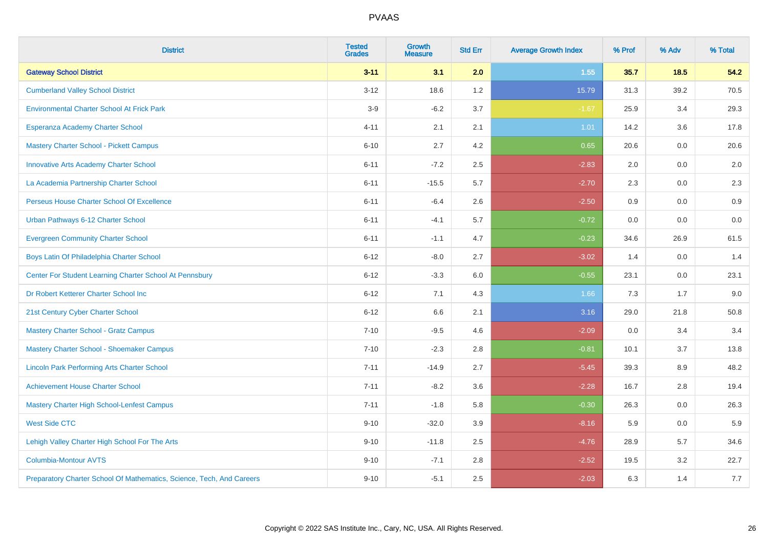| <b>District</b>                                                       | <b>Tested</b><br><b>Grades</b> | <b>Growth</b><br><b>Measure</b> | <b>Std Err</b> | <b>Average Growth Index</b> | % Prof | % Adv | % Total |
|-----------------------------------------------------------------------|--------------------------------|---------------------------------|----------------|-----------------------------|--------|-------|---------|
| <b>Gateway School District</b>                                        | $3 - 11$                       | 3.1                             | 2.0            | 1.55                        | 35.7   | 18.5  | 54.2    |
| <b>Cumberland Valley School District</b>                              | $3 - 12$                       | 18.6                            | 1.2            | 15.79                       | 31.3   | 39.2  | 70.5    |
| <b>Environmental Charter School At Frick Park</b>                     | $3-9$                          | $-6.2$                          | 3.7            | $-1.67$                     | 25.9   | 3.4   | 29.3    |
| Esperanza Academy Charter School                                      | $4 - 11$                       | 2.1                             | 2.1            | 1.01                        | 14.2   | 3.6   | 17.8    |
| <b>Mastery Charter School - Pickett Campus</b>                        | $6 - 10$                       | 2.7                             | 4.2            | 0.65                        | 20.6   | 0.0   | 20.6    |
| <b>Innovative Arts Academy Charter School</b>                         | $6 - 11$                       | $-7.2$                          | 2.5            | $-2.83$                     | 2.0    | 0.0   | 2.0     |
| La Academia Partnership Charter School                                | $6 - 11$                       | $-15.5$                         | 5.7            | $-2.70$                     | 2.3    | 0.0   | 2.3     |
| Perseus House Charter School Of Excellence                            | $6 - 11$                       | $-6.4$                          | 2.6            | $-2.50$                     | 0.9    | 0.0   | 0.9     |
| Urban Pathways 6-12 Charter School                                    | $6 - 11$                       | $-4.1$                          | 5.7            | $-0.72$                     | 0.0    | 0.0   | $0.0\,$ |
| <b>Evergreen Community Charter School</b>                             | $6 - 11$                       | $-1.1$                          | 4.7            | $-0.23$                     | 34.6   | 26.9  | 61.5    |
| Boys Latin Of Philadelphia Charter School                             | $6 - 12$                       | $-8.0$                          | 2.7            | $-3.02$                     | 1.4    | 0.0   | 1.4     |
| Center For Student Learning Charter School At Pennsbury               | $6 - 12$                       | $-3.3$                          | 6.0            | $-0.55$                     | 23.1   | 0.0   | 23.1    |
| Dr Robert Ketterer Charter School Inc                                 | $6 - 12$                       | 7.1                             | 4.3            | 1.66                        | 7.3    | 1.7   | 9.0     |
| 21st Century Cyber Charter School                                     | $6 - 12$                       | 6.6                             | 2.1            | 3.16                        | 29.0   | 21.8  | 50.8    |
| <b>Mastery Charter School - Gratz Campus</b>                          | $7 - 10$                       | $-9.5$                          | 4.6            | $-2.09$                     | 0.0    | 3.4   | 3.4     |
| Mastery Charter School - Shoemaker Campus                             | $7 - 10$                       | $-2.3$                          | 2.8            | $-0.81$                     | 10.1   | 3.7   | 13.8    |
| <b>Lincoln Park Performing Arts Charter School</b>                    | $7 - 11$                       | $-14.9$                         | 2.7            | $-5.45$                     | 39.3   | 8.9   | 48.2    |
| <b>Achievement House Charter School</b>                               | $7 - 11$                       | $-8.2$                          | 3.6            | $-2.28$                     | 16.7   | 2.8   | 19.4    |
| <b>Mastery Charter High School-Lenfest Campus</b>                     | $7 - 11$                       | $-1.8$                          | 5.8            | $-0.30$                     | 26.3   | 0.0   | 26.3    |
| <b>West Side CTC</b>                                                  | $9 - 10$                       | $-32.0$                         | 3.9            | $-8.16$                     | 5.9    | 0.0   | 5.9     |
| Lehigh Valley Charter High School For The Arts                        | $9 - 10$                       | $-11.8$                         | 2.5            | $-4.76$                     | 28.9   | 5.7   | 34.6    |
| <b>Columbia-Montour AVTS</b>                                          | $9 - 10$                       | $-7.1$                          | 2.8            | $-2.52$                     | 19.5   | 3.2   | 22.7    |
| Preparatory Charter School Of Mathematics, Science, Tech, And Careers | $9 - 10$                       | $-5.1$                          | 2.5            | $-2.03$                     | 6.3    | 1.4   | 7.7     |